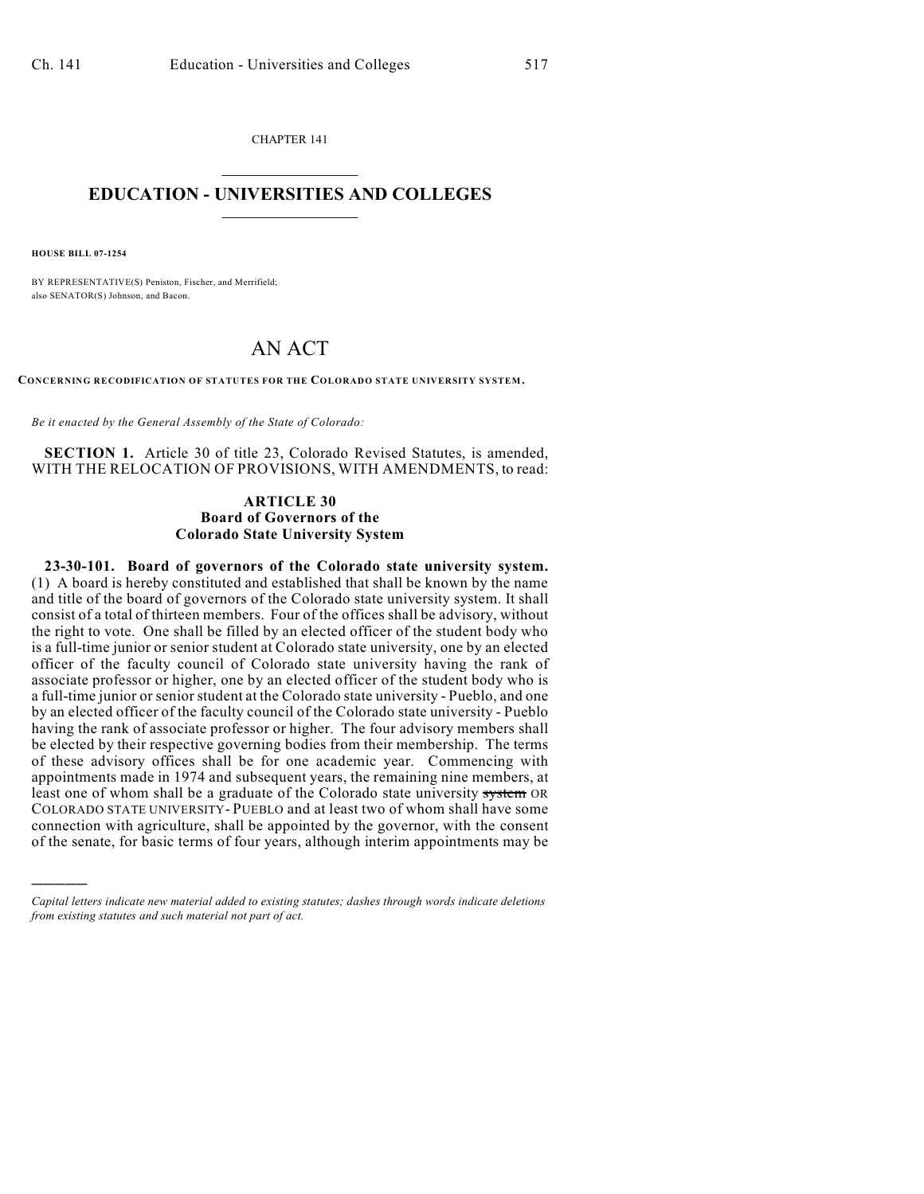CHAPTER 141  $\mathcal{L}_\text{max}$  . The set of the set of the set of the set of the set of the set of the set of the set of the set of the set of the set of the set of the set of the set of the set of the set of the set of the set of the set

### **EDUCATION - UNIVERSITIES AND COLLEGES**  $\frac{1}{2}$  ,  $\frac{1}{2}$  ,  $\frac{1}{2}$  ,  $\frac{1}{2}$  ,  $\frac{1}{2}$  ,  $\frac{1}{2}$  ,  $\frac{1}{2}$

**HOUSE BILL 07-1254**

)))))

BY REPRESENTATIVE(S) Peniston, Fischer, and Merrifield; also SENATOR(S) Johnson, and Bacon.

# AN ACT

**CONCERNING RECODIFICATION OF STATUTES FOR THE COLORADO STATE UNIVERSITY SYSTEM.**

*Be it enacted by the General Assembly of the State of Colorado:*

**SECTION 1.** Article 30 of title 23, Colorado Revised Statutes, is amended, WITH THE RELOCATION OF PROVISIONS, WITH AMENDMENTS, to read:

#### **ARTICLE 30 Board of Governors of the Colorado State University System**

**23-30-101. Board of governors of the Colorado state university system.** (1) A board is hereby constituted and established that shall be known by the name and title of the board of governors of the Colorado state university system. It shall consist of a total of thirteen members. Four of the offices shall be advisory, without the right to vote. One shall be filled by an elected officer of the student body who is a full-time junior or senior student at Colorado state university, one by an elected officer of the faculty council of Colorado state university having the rank of associate professor or higher, one by an elected officer of the student body who is a full-time junior or senior student at the Colorado state university - Pueblo, and one by an elected officer of the faculty council of the Colorado state university - Pueblo having the rank of associate professor or higher. The four advisory members shall be elected by their respective governing bodies from their membership. The terms of these advisory offices shall be for one academic year. Commencing with appointments made in 1974 and subsequent years, the remaining nine members, at least one of whom shall be a graduate of the Colorado state university system OR COLORADO STATE UNIVERSITY- PUEBLO and at least two of whom shall have some connection with agriculture, shall be appointed by the governor, with the consent of the senate, for basic terms of four years, although interim appointments may be

*Capital letters indicate new material added to existing statutes; dashes through words indicate deletions from existing statutes and such material not part of act.*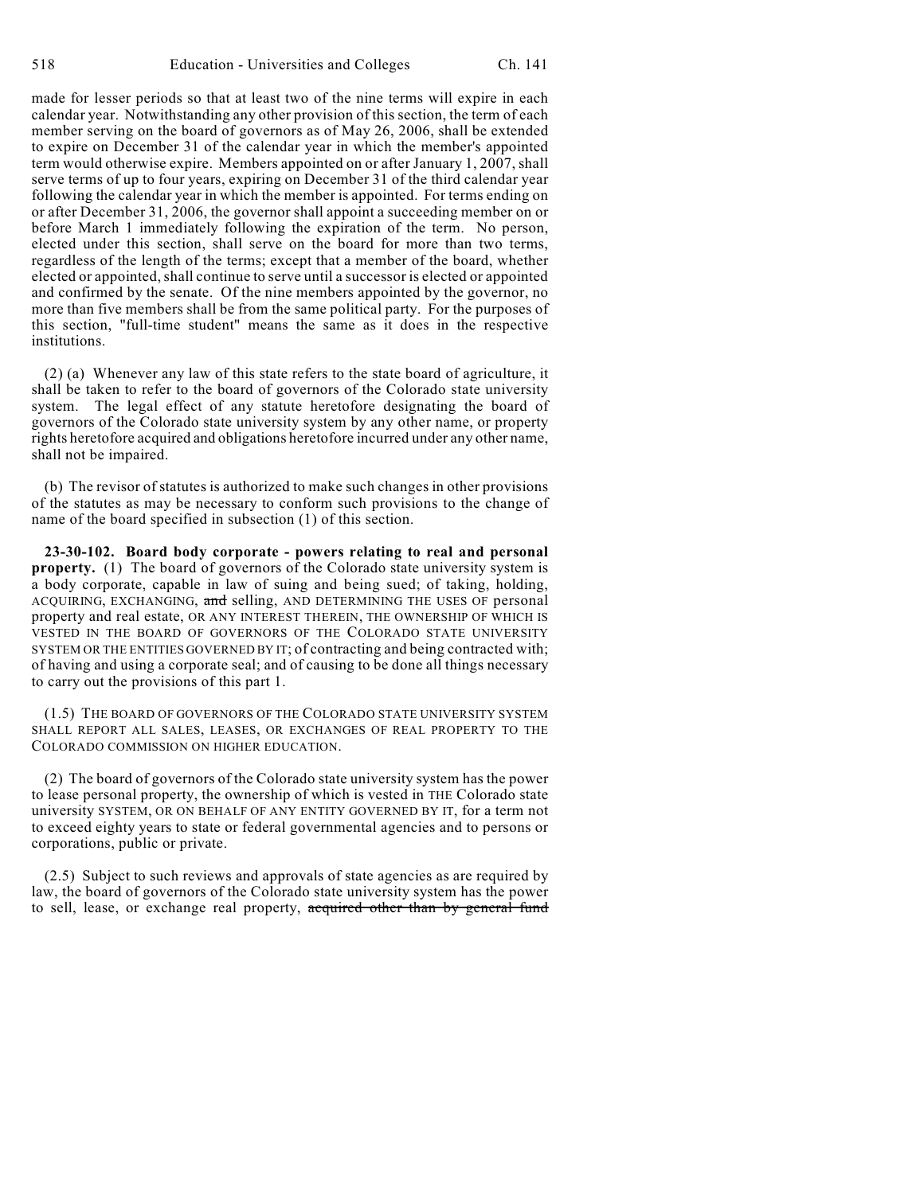made for lesser periods so that at least two of the nine terms will expire in each calendar year. Notwithstanding any other provision of this section, the term of each member serving on the board of governors as of May 26, 2006, shall be extended to expire on December 31 of the calendar year in which the member's appointed term would otherwise expire. Members appointed on or after January 1, 2007, shall serve terms of up to four years, expiring on December 31 of the third calendar year following the calendar year in which the member is appointed. For terms ending on or after December 31, 2006, the governor shall appoint a succeeding member on or before March 1 immediately following the expiration of the term. No person, elected under this section, shall serve on the board for more than two terms, regardless of the length of the terms; except that a member of the board, whether elected or appointed, shall continue to serve until a successor is elected or appointed and confirmed by the senate. Of the nine members appointed by the governor, no more than five members shall be from the same political party. For the purposes of this section, "full-time student" means the same as it does in the respective institutions.

(2) (a) Whenever any law of this state refers to the state board of agriculture, it shall be taken to refer to the board of governors of the Colorado state university system. The legal effect of any statute heretofore designating the board of governors of the Colorado state university system by any other name, or property rights heretofore acquired and obligations heretofore incurred under any other name, shall not be impaired.

(b) The revisor of statutes is authorized to make such changes in other provisions of the statutes as may be necessary to conform such provisions to the change of name of the board specified in subsection (1) of this section.

**23-30-102. Board body corporate - powers relating to real and personal property.** (1) The board of governors of the Colorado state university system is a body corporate, capable in law of suing and being sued; of taking, holding, ACQUIRING, EXCHANGING, and selling, AND DETERMINING THE USES OF personal property and real estate, OR ANY INTEREST THEREIN, THE OWNERSHIP OF WHICH IS VESTED IN THE BOARD OF GOVERNORS OF THE COLORADO STATE UNIVERSITY SYSTEM OR THE ENTITIES GOVERNED BY IT; of contracting and being contracted with; of having and using a corporate seal; and of causing to be done all things necessary to carry out the provisions of this part 1.

(1.5) THE BOARD OF GOVERNORS OF THE COLORADO STATE UNIVERSITY SYSTEM SHALL REPORT ALL SALES, LEASES, OR EXCHANGES OF REAL PROPERTY TO THE COLORADO COMMISSION ON HIGHER EDUCATION.

(2) The board of governors of the Colorado state university system has the power to lease personal property, the ownership of which is vested in THE Colorado state university SYSTEM, OR ON BEHALF OF ANY ENTITY GOVERNED BY IT, for a term not to exceed eighty years to state or federal governmental agencies and to persons or corporations, public or private.

(2.5) Subject to such reviews and approvals of state agencies as are required by law, the board of governors of the Colorado state university system has the power to sell, lease, or exchange real property, acquired other than by general fund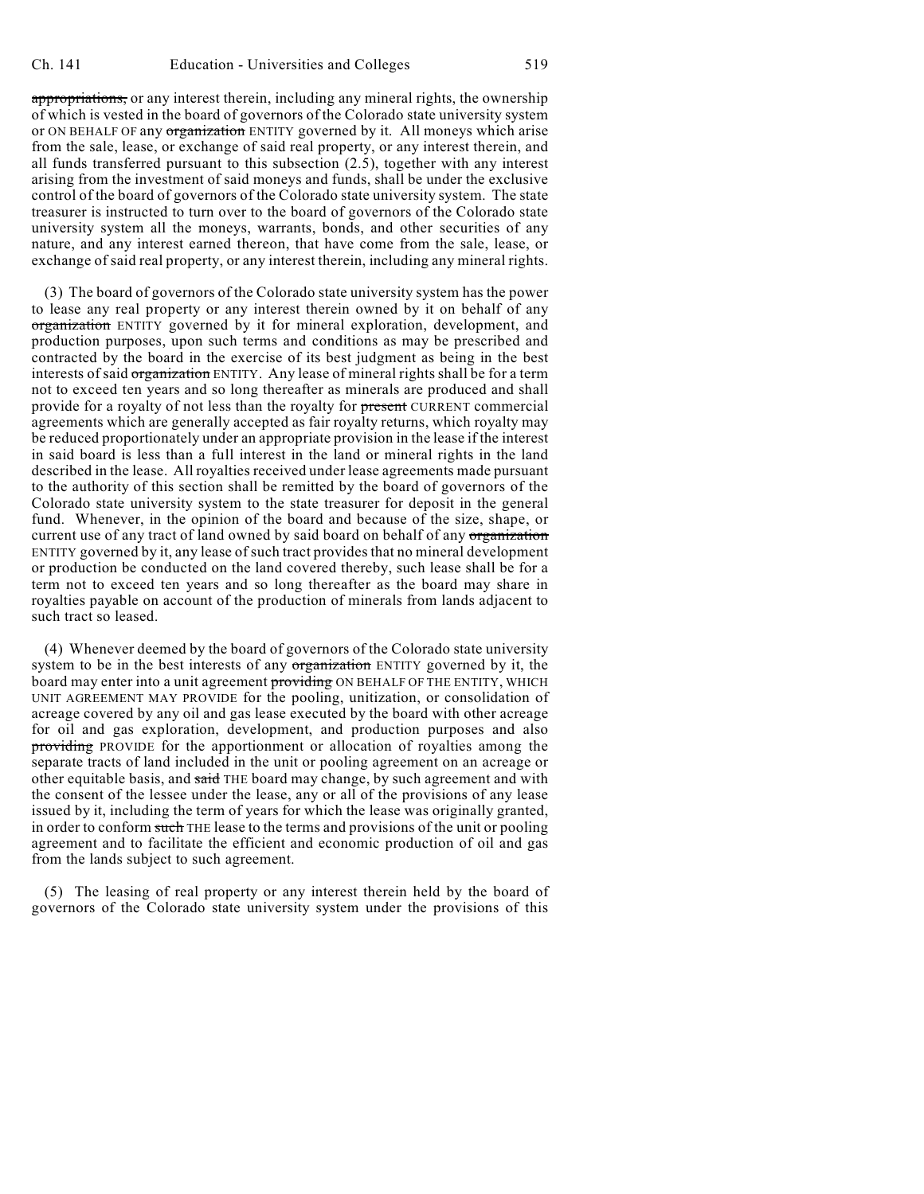appropriations, or any interest therein, including any mineral rights, the ownership of which is vested in the board of governors of the Colorado state university system or ON BEHALF OF any organization ENTITY governed by it. All moneys which arise from the sale, lease, or exchange of said real property, or any interest therein, and all funds transferred pursuant to this subsection (2.5), together with any interest arising from the investment of said moneys and funds, shall be under the exclusive control of the board of governors of the Colorado state university system. The state treasurer is instructed to turn over to the board of governors of the Colorado state university system all the moneys, warrants, bonds, and other securities of any nature, and any interest earned thereon, that have come from the sale, lease, or exchange of said real property, or any interest therein, including any mineral rights.

(3) The board of governors of the Colorado state university system has the power to lease any real property or any interest therein owned by it on behalf of any organization ENTITY governed by it for mineral exploration, development, and production purposes, upon such terms and conditions as may be prescribed and contracted by the board in the exercise of its best judgment as being in the best interests of said organization ENTITY. Any lease of mineral rights shall be for a term not to exceed ten years and so long thereafter as minerals are produced and shall provide for a royalty of not less than the royalty for present CURRENT commercial agreements which are generally accepted as fair royalty returns, which royalty may be reduced proportionately under an appropriate provision in the lease if the interest in said board is less than a full interest in the land or mineral rights in the land described in the lease. All royalties received under lease agreements made pursuant to the authority of this section shall be remitted by the board of governors of the Colorado state university system to the state treasurer for deposit in the general fund. Whenever, in the opinion of the board and because of the size, shape, or current use of any tract of land owned by said board on behalf of any organization ENTITY governed by it, any lease of such tract provides that no mineral development or production be conducted on the land covered thereby, such lease shall be for a term not to exceed ten years and so long thereafter as the board may share in royalties payable on account of the production of minerals from lands adjacent to such tract so leased.

(4) Whenever deemed by the board of governors of the Colorado state university system to be in the best interests of any organization ENTITY governed by it, the board may enter into a unit agreement providing ON BEHALF OF THE ENTITY, WHICH UNIT AGREEMENT MAY PROVIDE for the pooling, unitization, or consolidation of acreage covered by any oil and gas lease executed by the board with other acreage for oil and gas exploration, development, and production purposes and also providing PROVIDE for the apportionment or allocation of royalties among the separate tracts of land included in the unit or pooling agreement on an acreage or other equitable basis, and said THE board may change, by such agreement and with the consent of the lessee under the lease, any or all of the provisions of any lease issued by it, including the term of years for which the lease was originally granted, in order to conform such THE lease to the terms and provisions of the unit or pooling agreement and to facilitate the efficient and economic production of oil and gas from the lands subject to such agreement.

(5) The leasing of real property or any interest therein held by the board of governors of the Colorado state university system under the provisions of this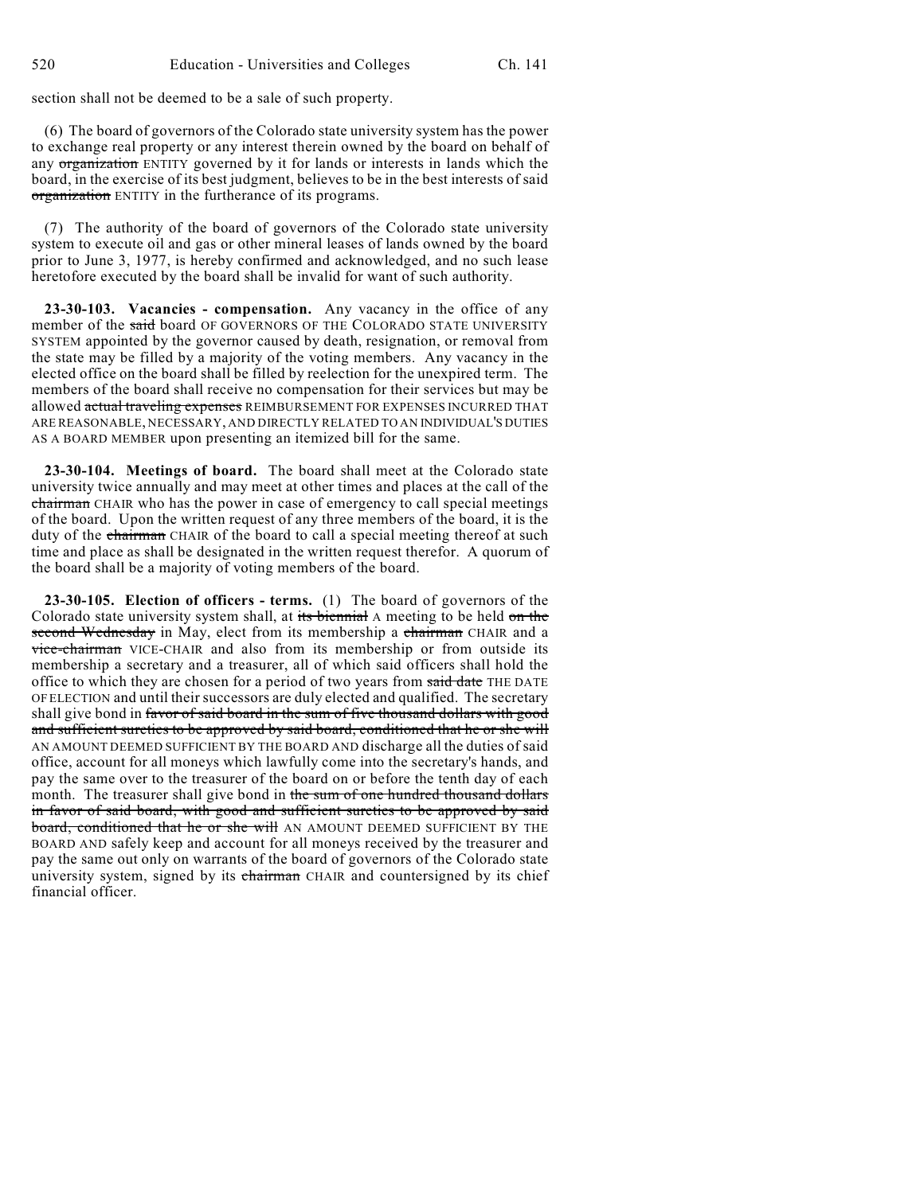section shall not be deemed to be a sale of such property.

(6) The board of governors of the Colorado state university system has the power to exchange real property or any interest therein owned by the board on behalf of any organization ENTITY governed by it for lands or interests in lands which the board, in the exercise of its best judgment, believes to be in the best interests of said organization ENTITY in the furtherance of its programs.

(7) The authority of the board of governors of the Colorado state university system to execute oil and gas or other mineral leases of lands owned by the board prior to June 3, 1977, is hereby confirmed and acknowledged, and no such lease heretofore executed by the board shall be invalid for want of such authority.

**23-30-103. Vacancies - compensation.** Any vacancy in the office of any member of the said board OF GOVERNORS OF THE COLORADO STATE UNIVERSITY SYSTEM appointed by the governor caused by death, resignation, or removal from the state may be filled by a majority of the voting members. Any vacancy in the elected office on the board shall be filled by reelection for the unexpired term. The members of the board shall receive no compensation for their services but may be allowed actual traveling expenses REIMBURSEMENT FOR EXPENSES INCURRED THAT ARE REASONABLE, NECESSARY, AND DIRECTLY RELATED TO AN INDIVIDUAL'S DUTIES AS A BOARD MEMBER upon presenting an itemized bill for the same.

**23-30-104. Meetings of board.** The board shall meet at the Colorado state university twice annually and may meet at other times and places at the call of the chairman CHAIR who has the power in case of emergency to call special meetings of the board. Upon the written request of any three members of the board, it is the duty of the chairman CHAIR of the board to call a special meeting thereof at such time and place as shall be designated in the written request therefor. A quorum of the board shall be a majority of voting members of the board.

**23-30-105. Election of officers - terms.** (1) The board of governors of the Colorado state university system shall, at its biennial A meeting to be held on the second Wednesday in May, elect from its membership a chairman CHAIR and a vice-chairman VICE-CHAIR and also from its membership or from outside its membership a secretary and a treasurer, all of which said officers shall hold the office to which they are chosen for a period of two years from said date THE DATE OF ELECTION and until their successors are duly elected and qualified. The secretary shall give bond in favor of said board in the sum of five thousand dollars with good and sufficient sureties to be approved by said board, conditioned that he or she will AN AMOUNT DEEMED SUFFICIENT BY THE BOARD AND discharge all the duties of said office, account for all moneys which lawfully come into the secretary's hands, and pay the same over to the treasurer of the board on or before the tenth day of each month. The treasurer shall give bond in the sum of one hundred thousand dollars in favor of said board, with good and sufficient sureties to be approved by said board, conditioned that he or she will AN AMOUNT DEEMED SUFFICIENT BY THE BOARD AND safely keep and account for all moneys received by the treasurer and pay the same out only on warrants of the board of governors of the Colorado state university system, signed by its chairman CHAIR and countersigned by its chief financial officer.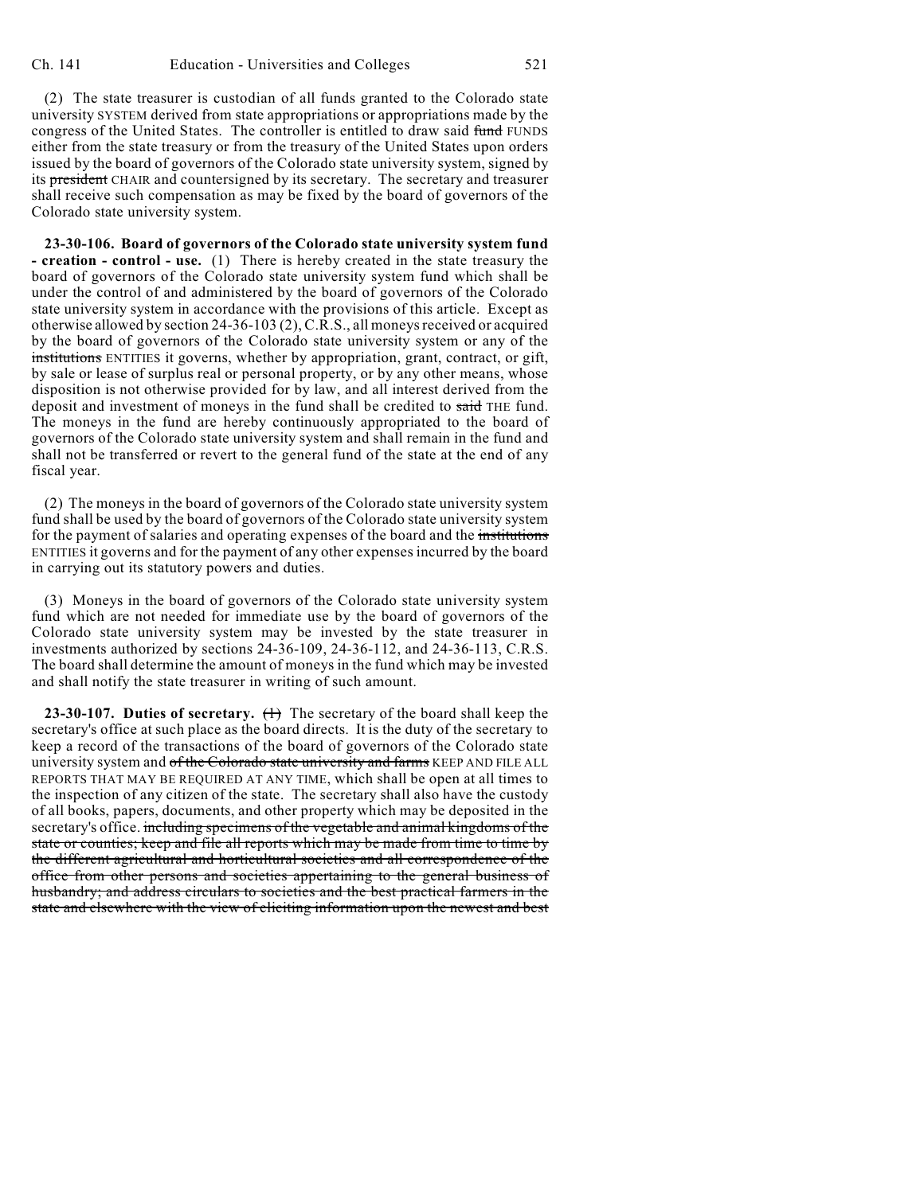(2) The state treasurer is custodian of all funds granted to the Colorado state university SYSTEM derived from state appropriations or appropriations made by the congress of the United States. The controller is entitled to draw said fund FUNDS either from the state treasury or from the treasury of the United States upon orders issued by the board of governors of the Colorado state university system, signed by its president CHAIR and countersigned by its secretary. The secretary and treasurer shall receive such compensation as may be fixed by the board of governors of the Colorado state university system.

**23-30-106. Board of governors of the Colorado state university system fund - creation - control - use.** (1) There is hereby created in the state treasury the board of governors of the Colorado state university system fund which shall be under the control of and administered by the board of governors of the Colorado state university system in accordance with the provisions of this article. Except as otherwise allowed by section 24-36-103 (2), C.R.S., all moneys received or acquired by the board of governors of the Colorado state university system or any of the institutions ENTITIES it governs, whether by appropriation, grant, contract, or gift, by sale or lease of surplus real or personal property, or by any other means, whose disposition is not otherwise provided for by law, and all interest derived from the deposit and investment of moneys in the fund shall be credited to said THE fund. The moneys in the fund are hereby continuously appropriated to the board of governors of the Colorado state university system and shall remain in the fund and shall not be transferred or revert to the general fund of the state at the end of any fiscal year.

(2) The moneys in the board of governors of the Colorado state university system fund shall be used by the board of governors of the Colorado state university system for the payment of salaries and operating expenses of the board and the institutions ENTITIES it governs and for the payment of any other expenses incurred by the board in carrying out its statutory powers and duties.

(3) Moneys in the board of governors of the Colorado state university system fund which are not needed for immediate use by the board of governors of the Colorado state university system may be invested by the state treasurer in investments authorized by sections 24-36-109, 24-36-112, and 24-36-113, C.R.S. The board shall determine the amount of moneys in the fund which may be invested and shall notify the state treasurer in writing of such amount.

**23-30-107. Duties of secretary.** (1) The secretary of the board shall keep the secretary's office at such place as the board directs. It is the duty of the secretary to keep a record of the transactions of the board of governors of the Colorado state university system and of the Colorado state university and farms KEEP AND FILE ALL REPORTS THAT MAY BE REQUIRED AT ANY TIME, which shall be open at all times to the inspection of any citizen of the state. The secretary shall also have the custody of all books, papers, documents, and other property which may be deposited in the secretary's office. including specimens of the vegetable and animal kingdoms of the state or counties; keep and file all reports which may be made from time to time by the different agricultural and horticultural societies and all correspondence of the office from other persons and societies appertaining to the general business of husbandry; and address circulars to societies and the best practical farmers in the state and elsewhere with the view of eliciting information upon the newest and best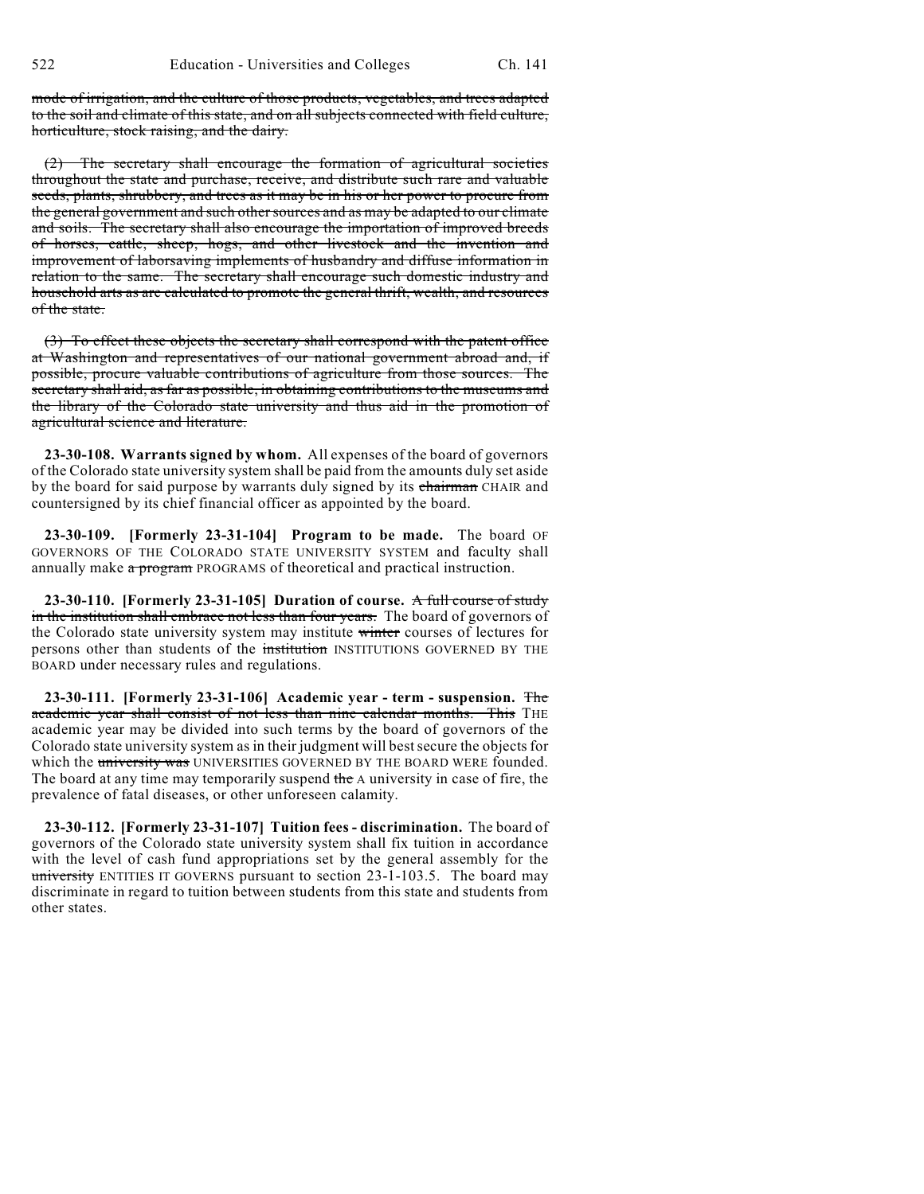mode of irrigation, and the culture of those products, vegetables, and trees adapted to the soil and climate of this state, and on all subjects connected with field culture, horticulture, stock raising, and the dairy.

(2) The secretary shall encourage the formation of agricultural societies throughout the state and purchase, receive, and distribute such rare and valuable seeds, plants, shrubbery, and trees as it may be in his or her power to procure from the general government and such other sources and as may be adapted to our climate and soils. The secretary shall also encourage the importation of improved breeds of horses, cattle, sheep, hogs, and other livestock and the invention and improvement of laborsaving implements of husbandry and diffuse information in relation to the same. The secretary shall encourage such domestic industry and household arts as are calculated to promote the general thrift, wealth, and resources of the state.

(3) To effect these objects the secretary shall correspond with the patent office at Washington and representatives of our national government abroad and, if possible, procure valuable contributions of agriculture from those sources. The secretary shall aid, as far as possible, in obtaining contributions to the museums and the library of the Colorado state university and thus aid in the promotion of agricultural science and literature.

**23-30-108. Warrants signed by whom.** All expenses of the board of governors of the Colorado state university system shall be paid from the amounts duly set aside by the board for said purpose by warrants duly signed by its chairman CHAIR and countersigned by its chief financial officer as appointed by the board.

**23-30-109. [Formerly 23-31-104] Program to be made.** The board OF GOVERNORS OF THE COLORADO STATE UNIVERSITY SYSTEM and faculty shall annually make a program PROGRAMS of theoretical and practical instruction.

**23-30-110. [Formerly 23-31-105] Duration of course.** A full course of study in the institution shall embrace not less than four years. The board of governors of the Colorado state university system may institute winter courses of lectures for persons other than students of the institution INSTITUTIONS GOVERNED BY THE BOARD under necessary rules and regulations.

**23-30-111. [Formerly 23-31-106] Academic year - term - suspension.** The academic year shall consist of not less than nine calendar months. This THE academic year may be divided into such terms by the board of governors of the Colorado state university system as in their judgment will bestsecure the objects for which the university was UNIVERSITIES GOVERNED BY THE BOARD WERE founded. The board at any time may temporarily suspend the A university in case of fire, the prevalence of fatal diseases, or other unforeseen calamity.

**23-30-112. [Formerly 23-31-107] Tuition fees - discrimination.** The board of governors of the Colorado state university system shall fix tuition in accordance with the level of cash fund appropriations set by the general assembly for the university ENTITIES IT GOVERNS pursuant to section  $23-1-103.5$ . The board may discriminate in regard to tuition between students from this state and students from other states.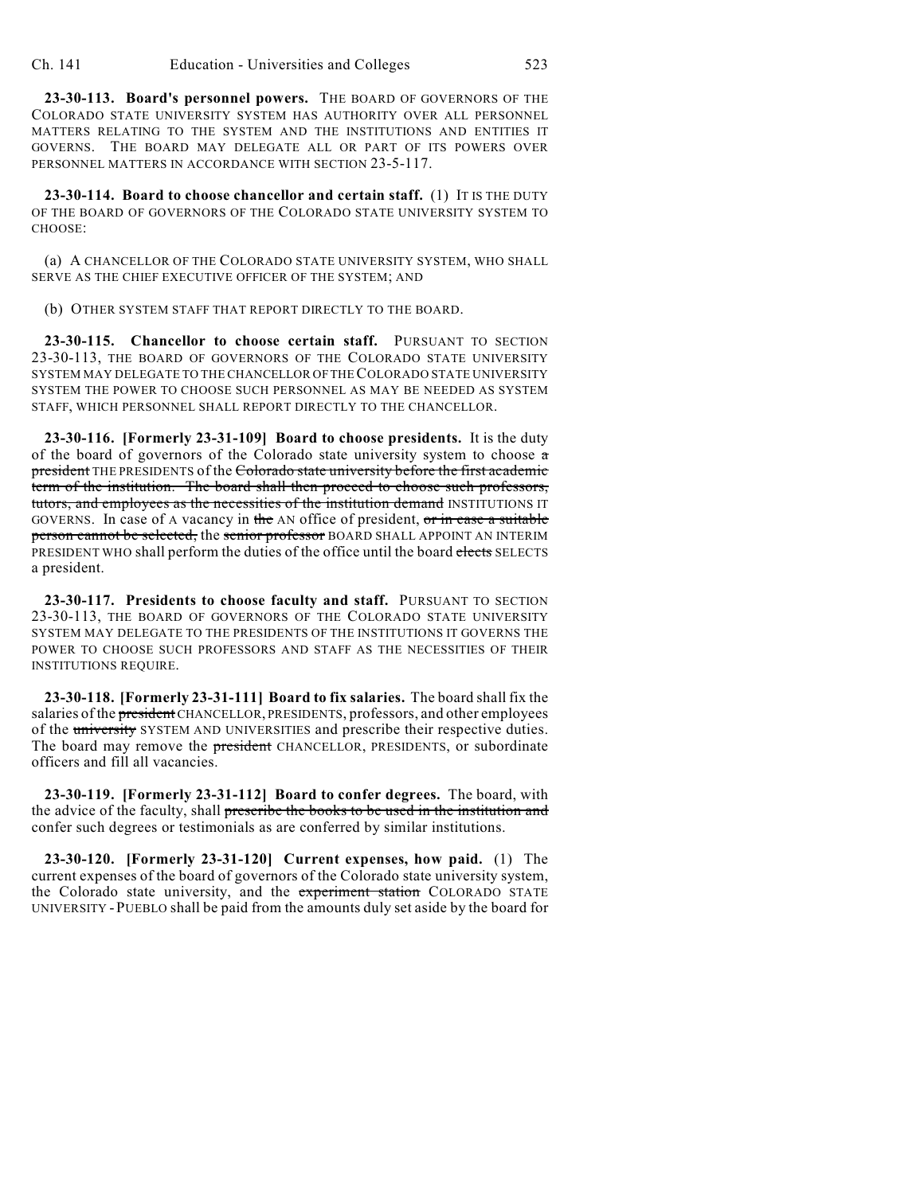**23-30-113. Board's personnel powers.** THE BOARD OF GOVERNORS OF THE COLORADO STATE UNIVERSITY SYSTEM HAS AUTHORITY OVER ALL PERSONNEL MATTERS RELATING TO THE SYSTEM AND THE INSTITUTIONS AND ENTITIES IT GOVERNS. THE BOARD MAY DELEGATE ALL OR PART OF ITS POWERS OVER PERSONNEL MATTERS IN ACCORDANCE WITH SECTION 23-5-117.

**23-30-114. Board to choose chancellor and certain staff.** (1) IT IS THE DUTY OF THE BOARD OF GOVERNORS OF THE COLORADO STATE UNIVERSITY SYSTEM TO CHOOSE:

(a) A CHANCELLOR OF THE COLORADO STATE UNIVERSITY SYSTEM, WHO SHALL SERVE AS THE CHIEF EXECUTIVE OFFICER OF THE SYSTEM; AND

(b) OTHER SYSTEM STAFF THAT REPORT DIRECTLY TO THE BOARD.

**23-30-115. Chancellor to choose certain staff.** PURSUANT TO SECTION 23-30-113, THE BOARD OF GOVERNORS OF THE COLORADO STATE UNIVERSITY SYSTEM MAY DELEGATE TO THE CHANCELLOR OF THE COLORADO STATE UNIVERSITY SYSTEM THE POWER TO CHOOSE SUCH PERSONNEL AS MAY BE NEEDED AS SYSTEM STAFF, WHICH PERSONNEL SHALL REPORT DIRECTLY TO THE CHANCELLOR.

**23-30-116. [Formerly 23-31-109] Board to choose presidents.** It is the duty of the board of governors of the Colorado state university system to choose  $\pi$ president THE PRESIDENTS of the Colorado state university before the first academic term of the institution. The board shall then proceed to choose such professors, tutors, and employees as the necessities of the institution demand INSTITUTIONS IT GOVERNS. In case of A vacancy in the AN office of president, or in case a suitable person cannot be selected, the senior professor BOARD SHALL APPOINT AN INTERIM PRESIDENT WHO shall perform the duties of the office until the board elects SELECTS a president.

**23-30-117. Presidents to choose faculty and staff.** PURSUANT TO SECTION 23-30-113, THE BOARD OF GOVERNORS OF THE COLORADO STATE UNIVERSITY SYSTEM MAY DELEGATE TO THE PRESIDENTS OF THE INSTITUTIONS IT GOVERNS THE POWER TO CHOOSE SUCH PROFESSORS AND STAFF AS THE NECESSITIES OF THEIR INSTITUTIONS REQUIRE.

**23-30-118. [Formerly 23-31-111] Board to fix salaries.** The board shall fix the salaries of the president CHANCELLOR, PRESIDENTS, professors, and other employees of the university SYSTEM AND UNIVERSITIES and prescribe their respective duties. The board may remove the **president** CHANCELLOR, PRESIDENTS, or subordinate officers and fill all vacancies.

**23-30-119. [Formerly 23-31-112] Board to confer degrees.** The board, with the advice of the faculty, shall prescribe the books to be used in the institution and confer such degrees or testimonials as are conferred by similar institutions.

**23-30-120. [Formerly 23-31-120] Current expenses, how paid.** (1) The current expenses of the board of governors of the Colorado state university system, the Colorado state university, and the experiment station COLORADO STATE UNIVERSITY -PUEBLO shall be paid from the amounts duly set aside by the board for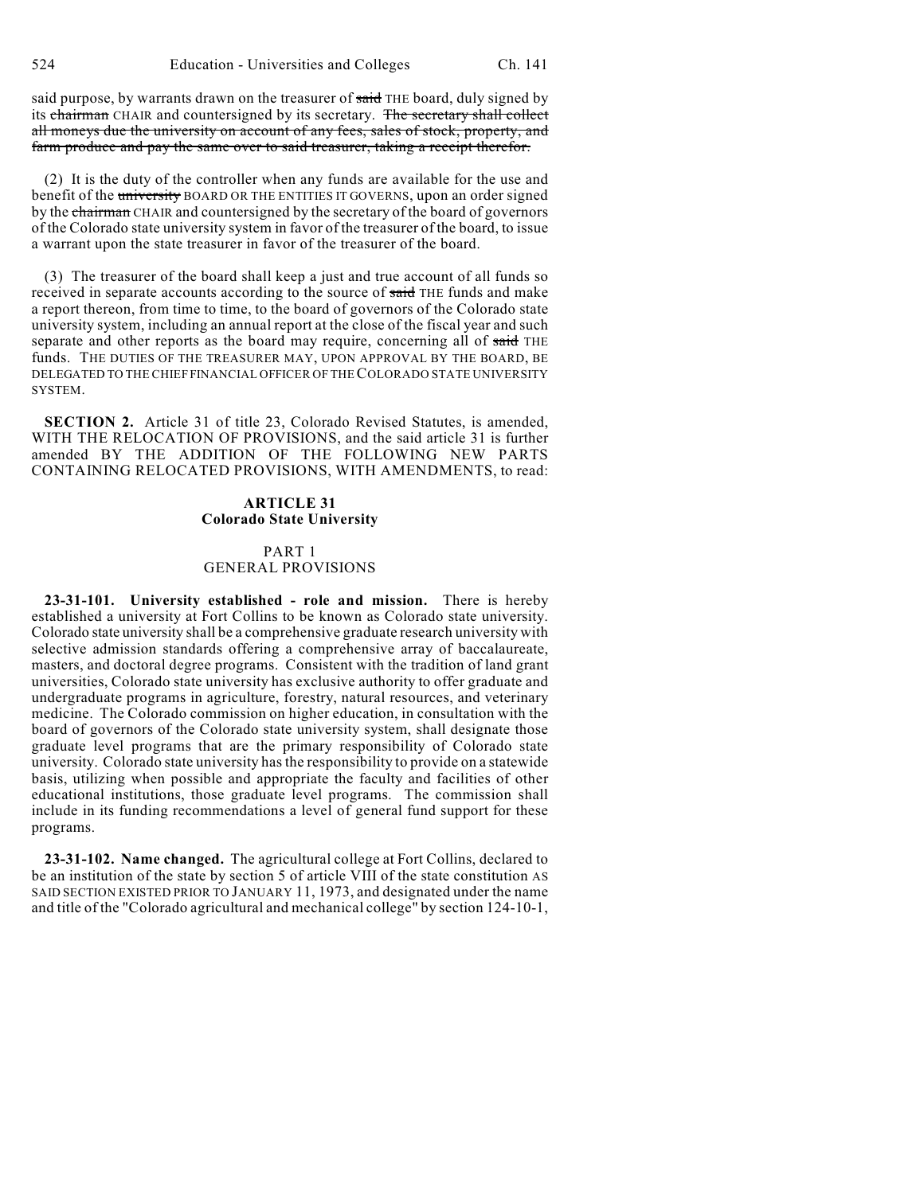said purpose, by warrants drawn on the treasurer of said THE board, duly signed by its chairman CHAIR and countersigned by its secretary. The secretary shall collect all moneys due the university on account of any fees, sales of stock, property, and farm produce and pay the same over to said treasurer, taking a receipt therefor.

(2) It is the duty of the controller when any funds are available for the use and benefit of the university BOARD OR THE ENTITIES IT GOVERNS, upon an order signed by the chairman CHAIR and countersigned by the secretary of the board of governors of the Colorado state university system in favor of the treasurer of the board, to issue a warrant upon the state treasurer in favor of the treasurer of the board.

(3) The treasurer of the board shall keep a just and true account of all funds so received in separate accounts according to the source of said THE funds and make a report thereon, from time to time, to the board of governors of the Colorado state university system, including an annual report at the close of the fiscal year and such separate and other reports as the board may require, concerning all of said THE funds. THE DUTIES OF THE TREASURER MAY, UPON APPROVAL BY THE BOARD, BE DELEGATED TO THE CHIEF FINANCIAL OFFICER OF THE COLORADO STATE UNIVERSITY SYSTEM.

**SECTION 2.** Article 31 of title 23, Colorado Revised Statutes, is amended, WITH THE RELOCATION OF PROVISIONS, and the said article 31 is further amended BY THE ADDITION OF THE FOLLOWING NEW PARTS CONTAINING RELOCATED PROVISIONS, WITH AMENDMENTS, to read:

### **ARTICLE 31 Colorado State University**

# PART 1 GENERAL PROVISIONS

**23-31-101. University established - role and mission.** There is hereby established a university at Fort Collins to be known as Colorado state university. Colorado state university shall be a comprehensive graduate research university with selective admission standards offering a comprehensive array of baccalaureate, masters, and doctoral degree programs. Consistent with the tradition of land grant universities, Colorado state university has exclusive authority to offer graduate and undergraduate programs in agriculture, forestry, natural resources, and veterinary medicine. The Colorado commission on higher education, in consultation with the board of governors of the Colorado state university system, shall designate those graduate level programs that are the primary responsibility of Colorado state university. Colorado state university has the responsibility to provide on a statewide basis, utilizing when possible and appropriate the faculty and facilities of other educational institutions, those graduate level programs. The commission shall include in its funding recommendations a level of general fund support for these programs.

**23-31-102. Name changed.** The agricultural college at Fort Collins, declared to be an institution of the state by section 5 of article VIII of the state constitution AS SAID SECTION EXISTED PRIOR TO JANUARY 11, 1973, and designated under the name and title of the "Colorado agricultural and mechanical college" by section 124-10-1,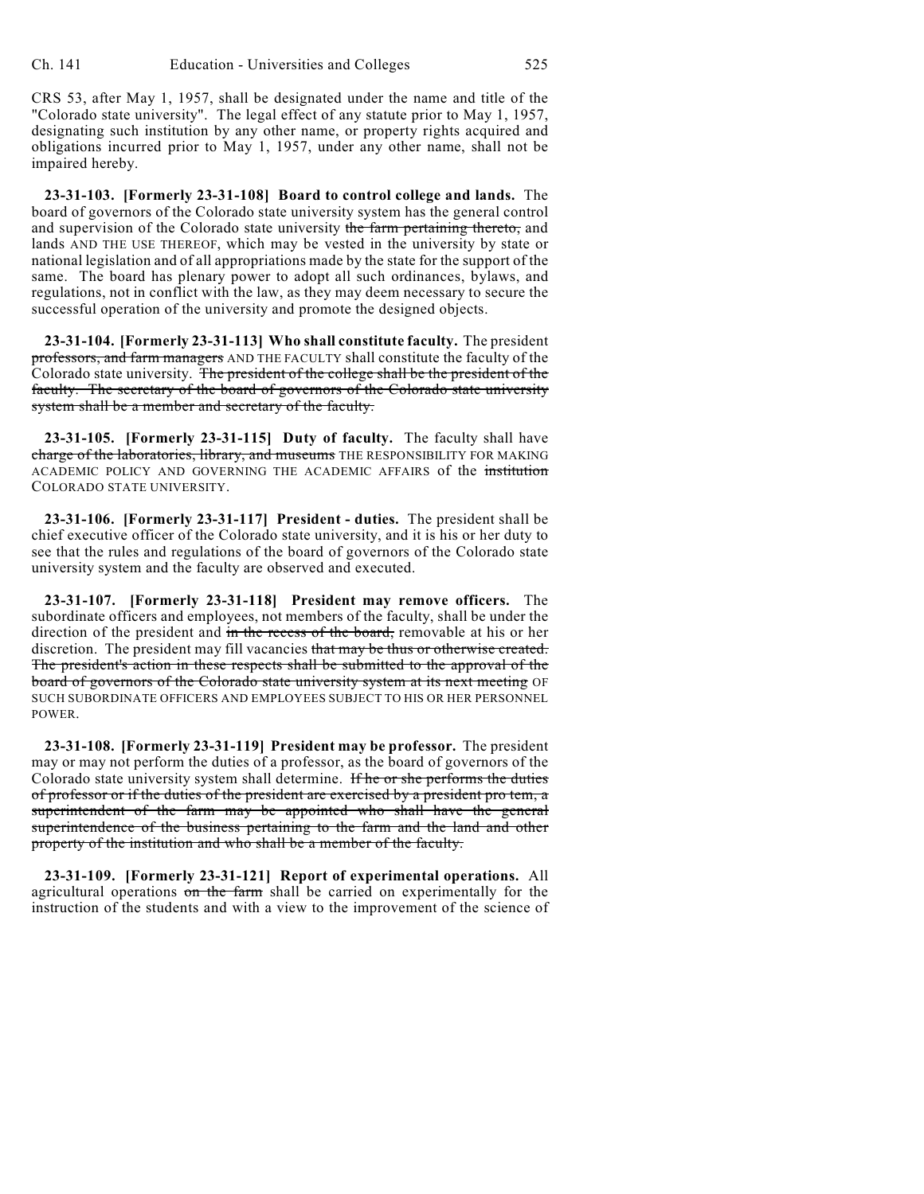CRS 53, after May 1, 1957, shall be designated under the name and title of the "Colorado state university". The legal effect of any statute prior to May 1, 1957, designating such institution by any other name, or property rights acquired and obligations incurred prior to May 1, 1957, under any other name, shall not be impaired hereby.

**23-31-103. [Formerly 23-31-108] Board to control college and lands.** The board of governors of the Colorado state university system has the general control and supervision of the Colorado state university the farm pertaining thereto, and lands AND THE USE THEREOF, which may be vested in the university by state or national legislation and of all appropriations made by the state for the support of the same. The board has plenary power to adopt all such ordinances, bylaws, and regulations, not in conflict with the law, as they may deem necessary to secure the successful operation of the university and promote the designed objects.

**23-31-104. [Formerly 23-31-113] Who shall constitute faculty.** The president professors, and farm managers AND THE FACULTY shall constitute the faculty of the Colorado state university. The president of the college shall be the president of the faculty. The secretary of the board of governors of the Colorado state university system shall be a member and secretary of the faculty.

**23-31-105. [Formerly 23-31-115] Duty of faculty.** The faculty shall have charge of the laboratories, library, and museums THE RESPONSIBILITY FOR MAKING ACADEMIC POLICY AND GOVERNING THE ACADEMIC AFFAIRS of the institution COLORADO STATE UNIVERSITY.

**23-31-106. [Formerly 23-31-117] President - duties.** The president shall be chief executive officer of the Colorado state university, and it is his or her duty to see that the rules and regulations of the board of governors of the Colorado state university system and the faculty are observed and executed.

**23-31-107. [Formerly 23-31-118] President may remove officers.** The subordinate officers and employees, not members of the faculty, shall be under the direction of the president and in the recess of the board, removable at his or her discretion. The president may fill vacancies that may be thus or otherwise created. The president's action in these respects shall be submitted to the approval of the board of governors of the Colorado state university system at its next meeting OF SUCH SUBORDINATE OFFICERS AND EMPLOYEES SUBJECT TO HIS OR HER PERSONNEL POWER.

**23-31-108. [Formerly 23-31-119] President may be professor.** The president may or may not perform the duties of a professor, as the board of governors of the Colorado state university system shall determine. If he or she performs the duties of professor or if the duties of the president are exercised by a president pro tem, a superintendent of the farm may be appointed who shall have the general superintendence of the business pertaining to the farm and the land and other property of the institution and who shall be a member of the faculty.

**23-31-109. [Formerly 23-31-121] Report of experimental operations.** All agricultural operations on the farm shall be carried on experimentally for the instruction of the students and with a view to the improvement of the science of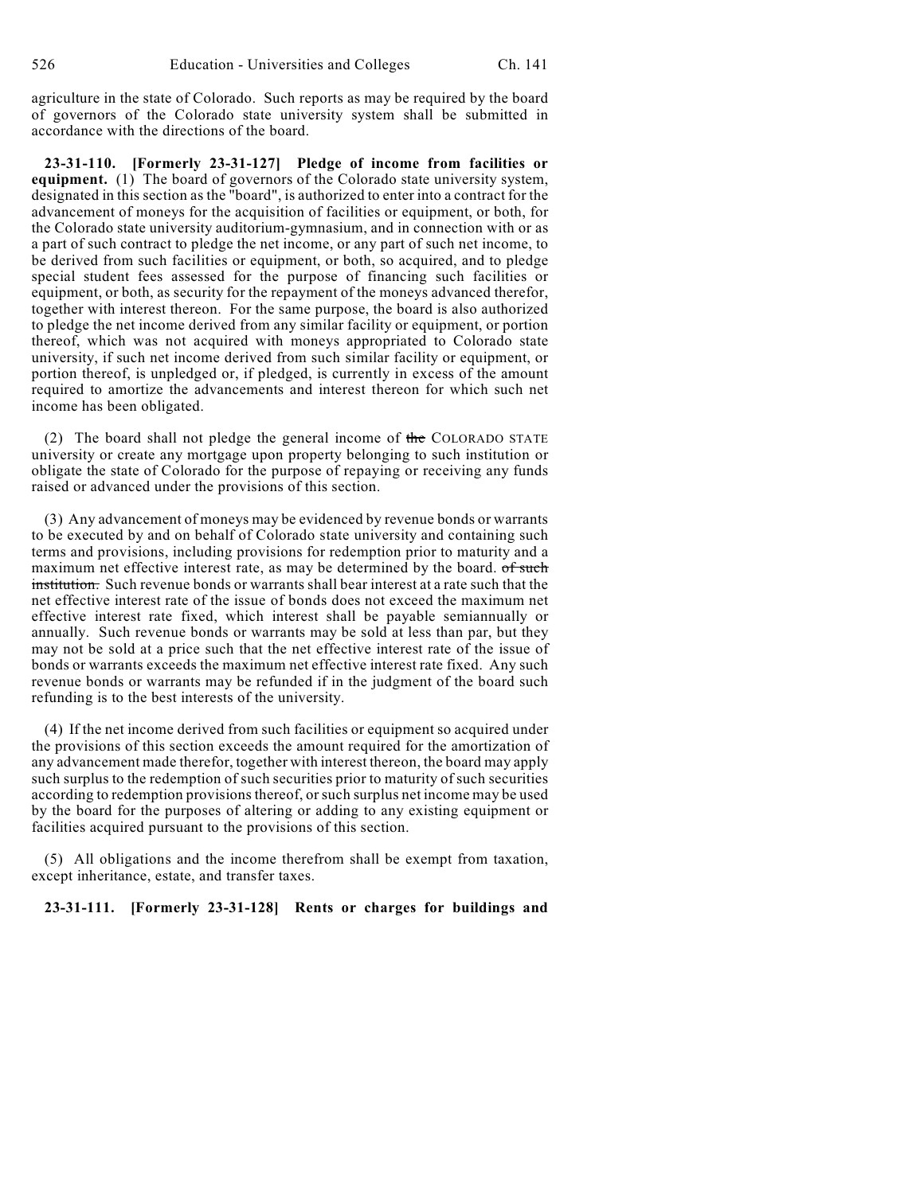agriculture in the state of Colorado. Such reports as may be required by the board of governors of the Colorado state university system shall be submitted in accordance with the directions of the board.

**23-31-110. [Formerly 23-31-127] Pledge of income from facilities or equipment.** (1) The board of governors of the Colorado state university system, designated in this section as the "board", is authorized to enter into a contract for the advancement of moneys for the acquisition of facilities or equipment, or both, for the Colorado state university auditorium-gymnasium, and in connection with or as a part of such contract to pledge the net income, or any part of such net income, to be derived from such facilities or equipment, or both, so acquired, and to pledge special student fees assessed for the purpose of financing such facilities or equipment, or both, as security for the repayment of the moneys advanced therefor, together with interest thereon. For the same purpose, the board is also authorized to pledge the net income derived from any similar facility or equipment, or portion thereof, which was not acquired with moneys appropriated to Colorado state university, if such net income derived from such similar facility or equipment, or portion thereof, is unpledged or, if pledged, is currently in excess of the amount required to amortize the advancements and interest thereon for which such net income has been obligated.

(2) The board shall not pledge the general income of the COLORADO STATE university or create any mortgage upon property belonging to such institution or obligate the state of Colorado for the purpose of repaying or receiving any funds raised or advanced under the provisions of this section.

(3) Any advancement of moneys may be evidenced by revenue bonds or warrants to be executed by and on behalf of Colorado state university and containing such terms and provisions, including provisions for redemption prior to maturity and a maximum net effective interest rate, as may be determined by the board. of such institution. Such revenue bonds or warrants shall bear interest at a rate such that the net effective interest rate of the issue of bonds does not exceed the maximum net effective interest rate fixed, which interest shall be payable semiannually or annually. Such revenue bonds or warrants may be sold at less than par, but they may not be sold at a price such that the net effective interest rate of the issue of bonds or warrants exceeds the maximum net effective interest rate fixed. Any such revenue bonds or warrants may be refunded if in the judgment of the board such refunding is to the best interests of the university.

(4) If the net income derived from such facilities or equipment so acquired under the provisions of this section exceeds the amount required for the amortization of any advancement made therefor, together with interest thereon, the board may apply such surplus to the redemption of such securities prior to maturity of such securities according to redemption provisions thereof, or such surplus net income may be used by the board for the purposes of altering or adding to any existing equipment or facilities acquired pursuant to the provisions of this section.

(5) All obligations and the income therefrom shall be exempt from taxation, except inheritance, estate, and transfer taxes.

#### **23-31-111. [Formerly 23-31-128] Rents or charges for buildings and**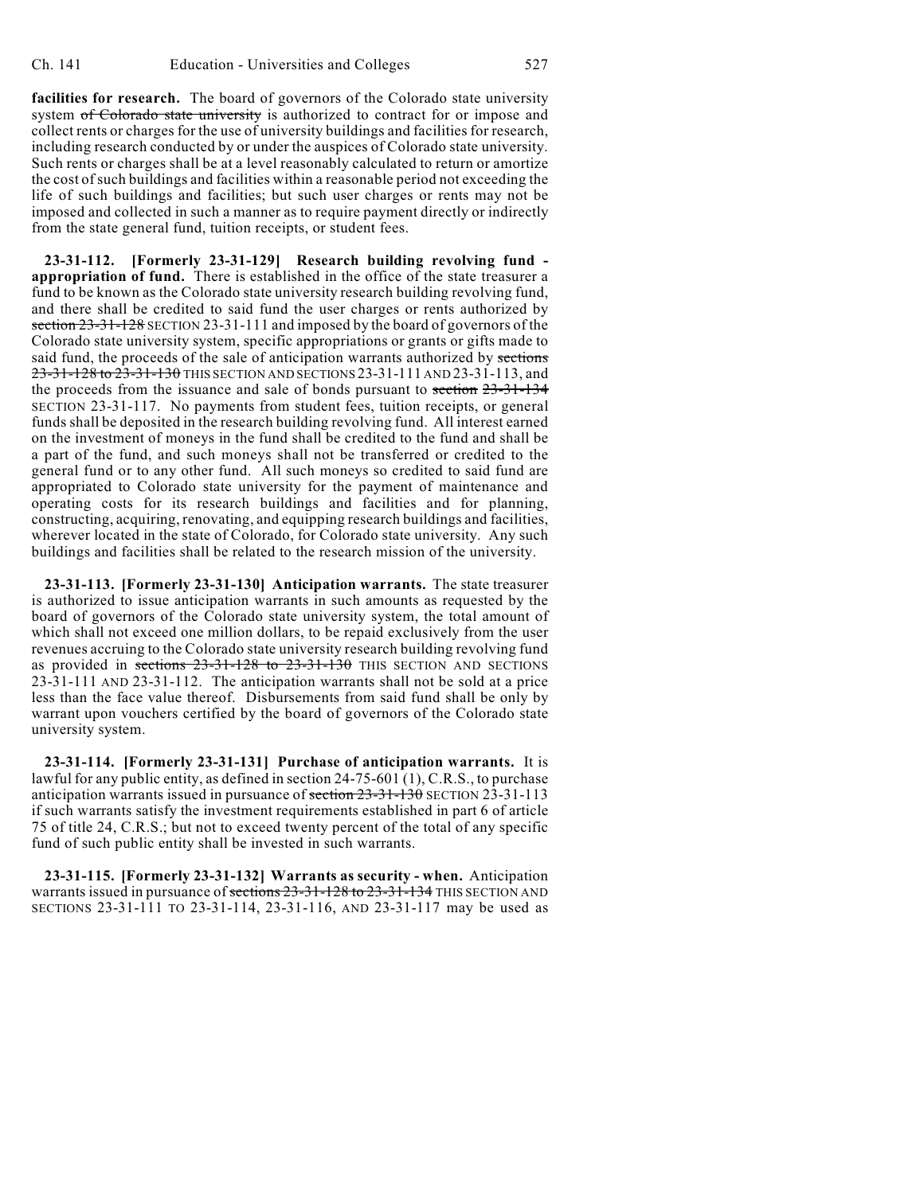**facilities for research.** The board of governors of the Colorado state university system of Colorado state university is authorized to contract for or impose and collect rents or charges for the use of university buildings and facilities for research, including research conducted by or under the auspices of Colorado state university. Such rents or charges shall be at a level reasonably calculated to return or amortize the cost of such buildings and facilities within a reasonable period not exceeding the life of such buildings and facilities; but such user charges or rents may not be imposed and collected in such a manner as to require payment directly or indirectly from the state general fund, tuition receipts, or student fees.

**23-31-112. [Formerly 23-31-129] Research building revolving fund appropriation of fund.** There is established in the office of the state treasurer a fund to be known as the Colorado state university research building revolving fund, and there shall be credited to said fund the user charges or rents authorized by section 23-31-128 SECTION 23-31-111 and imposed by the board of governors of the Colorado state university system, specific appropriations or grants or gifts made to said fund, the proceeds of the sale of anticipation warrants authorized by sections 23-31-128 to 23-31-130 THIS SECTION AND SECTIONS 23-31-111 AND 23-31-113, and the proceeds from the issuance and sale of bonds pursuant to section 23-31-134 SECTION 23-31-117. No payments from student fees, tuition receipts, or general funds shall be deposited in the research building revolving fund. All interest earned on the investment of moneys in the fund shall be credited to the fund and shall be a part of the fund, and such moneys shall not be transferred or credited to the general fund or to any other fund. All such moneys so credited to said fund are appropriated to Colorado state university for the payment of maintenance and operating costs for its research buildings and facilities and for planning, constructing, acquiring, renovating, and equipping research buildings and facilities, wherever located in the state of Colorado, for Colorado state university. Any such buildings and facilities shall be related to the research mission of the university.

**23-31-113. [Formerly 23-31-130] Anticipation warrants.** The state treasurer is authorized to issue anticipation warrants in such amounts as requested by the board of governors of the Colorado state university system, the total amount of which shall not exceed one million dollars, to be repaid exclusively from the user revenues accruing to the Colorado state university research building revolving fund as provided in sections 23-31-128 to 23-31-130 THIS SECTION AND SECTIONS 23-31-111 AND 23-31-112. The anticipation warrants shall not be sold at a price less than the face value thereof. Disbursements from said fund shall be only by warrant upon vouchers certified by the board of governors of the Colorado state university system.

**23-31-114. [Formerly 23-31-131] Purchase of anticipation warrants.** It is lawful for any public entity, as defined in section 24-75-601 (1), C.R.S., to purchase anticipation warrants issued in pursuance of section 23-31-130 SECTION 23-31-113 if such warrants satisfy the investment requirements established in part 6 of article 75 of title 24, C.R.S.; but not to exceed twenty percent of the total of any specific fund of such public entity shall be invested in such warrants.

**23-31-115. [Formerly 23-31-132] Warrants as security - when.** Anticipation warrants issued in pursuance of sections  $23-31-128$  to  $23-31-134$  THIS SECTION AND SECTIONS 23-31-111 TO 23-31-114, 23-31-116, AND 23-31-117 may be used as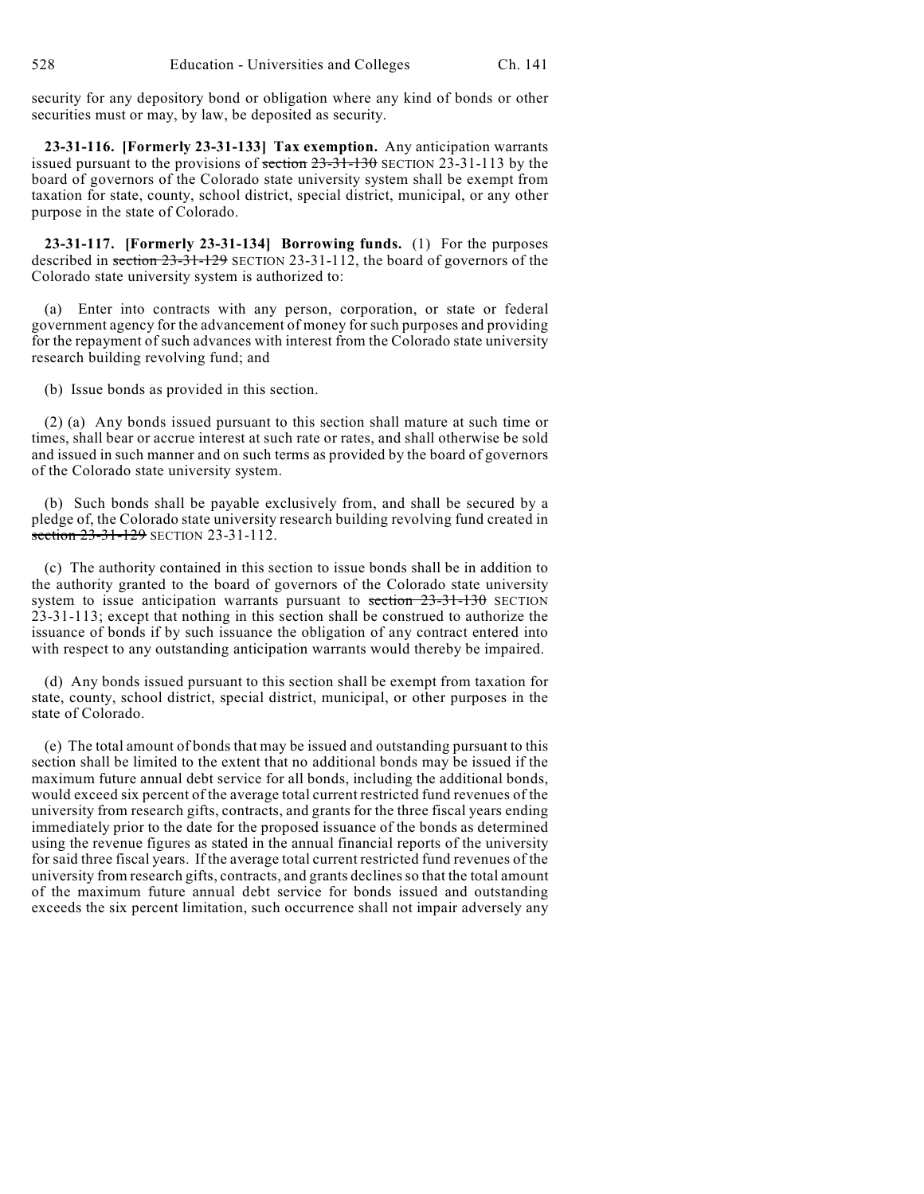security for any depository bond or obligation where any kind of bonds or other securities must or may, by law, be deposited as security.

**23-31-116. [Formerly 23-31-133] Tax exemption.** Any anticipation warrants issued pursuant to the provisions of section  $23-31-130$  SECTION  $23-31-113$  by the board of governors of the Colorado state university system shall be exempt from taxation for state, county, school district, special district, municipal, or any other purpose in the state of Colorado.

**23-31-117. [Formerly 23-31-134] Borrowing funds.** (1) For the purposes described in section 23-31-129 SECTION 23-31-112, the board of governors of the Colorado state university system is authorized to:

(a) Enter into contracts with any person, corporation, or state or federal government agency for the advancement of money for such purposes and providing for the repayment of such advances with interest from the Colorado state university research building revolving fund; and

(b) Issue bonds as provided in this section.

(2) (a) Any bonds issued pursuant to this section shall mature at such time or times, shall bear or accrue interest at such rate or rates, and shall otherwise be sold and issued in such manner and on such terms as provided by the board of governors of the Colorado state university system.

(b) Such bonds shall be payable exclusively from, and shall be secured by a pledge of, the Colorado state university research building revolving fund created in section 23-31-129 SECTION 23-31-112.

(c) The authority contained in this section to issue bonds shall be in addition to the authority granted to the board of governors of the Colorado state university system to issue anticipation warrants pursuant to section  $23-31-130$  SECTION 23-31-113; except that nothing in this section shall be construed to authorize the issuance of bonds if by such issuance the obligation of any contract entered into with respect to any outstanding anticipation warrants would thereby be impaired.

(d) Any bonds issued pursuant to this section shall be exempt from taxation for state, county, school district, special district, municipal, or other purposes in the state of Colorado.

(e) The total amount of bonds that may be issued and outstanding pursuant to this section shall be limited to the extent that no additional bonds may be issued if the maximum future annual debt service for all bonds, including the additional bonds, would exceed six percent of the average total current restricted fund revenues of the university from research gifts, contracts, and grants for the three fiscal years ending immediately prior to the date for the proposed issuance of the bonds as determined using the revenue figures as stated in the annual financial reports of the university for said three fiscal years. If the average total current restricted fund revenues of the university from research gifts, contracts, and grants declinesso that the total amount of the maximum future annual debt service for bonds issued and outstanding exceeds the six percent limitation, such occurrence shall not impair adversely any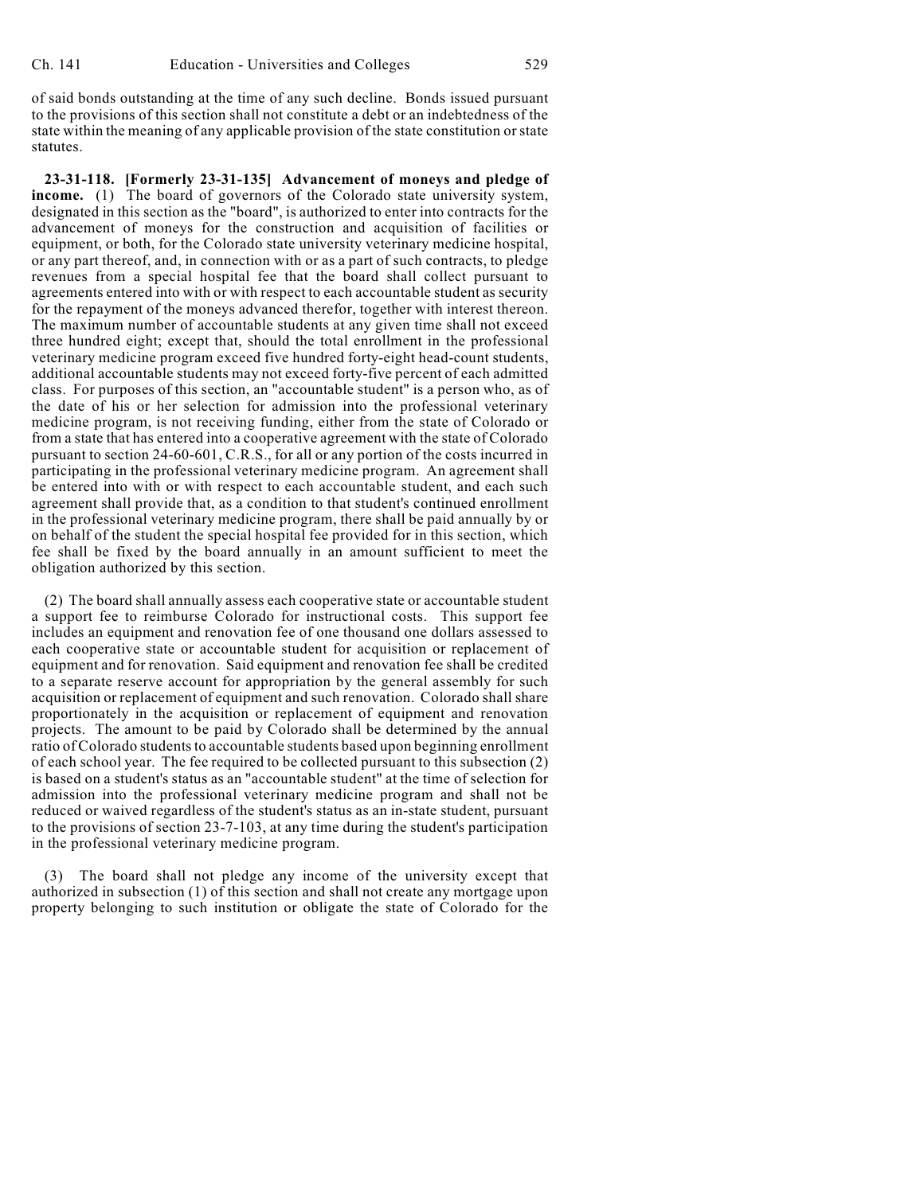of said bonds outstanding at the time of any such decline. Bonds issued pursuant to the provisions of this section shall not constitute a debt or an indebtedness of the state within the meaning of any applicable provision of the state constitution or state statutes.

**23-31-118. [Formerly 23-31-135] Advancement of moneys and pledge of income.** (1) The board of governors of the Colorado state university system, designated in this section as the "board", is authorized to enter into contracts for the advancement of moneys for the construction and acquisition of facilities or equipment, or both, for the Colorado state university veterinary medicine hospital, or any part thereof, and, in connection with or as a part of such contracts, to pledge revenues from a special hospital fee that the board shall collect pursuant to agreements entered into with or with respect to each accountable student as security for the repayment of the moneys advanced therefor, together with interest thereon. The maximum number of accountable students at any given time shall not exceed three hundred eight; except that, should the total enrollment in the professional veterinary medicine program exceed five hundred forty-eight head-count students, additional accountable students may not exceed forty-five percent of each admitted class. For purposes of this section, an "accountable student" is a person who, as of the date of his or her selection for admission into the professional veterinary medicine program, is not receiving funding, either from the state of Colorado or from a state that has entered into a cooperative agreement with the state of Colorado pursuant to section 24-60-601, C.R.S., for all or any portion of the costs incurred in participating in the professional veterinary medicine program. An agreement shall be entered into with or with respect to each accountable student, and each such agreement shall provide that, as a condition to that student's continued enrollment in the professional veterinary medicine program, there shall be paid annually by or on behalf of the student the special hospital fee provided for in this section, which fee shall be fixed by the board annually in an amount sufficient to meet the obligation authorized by this section.

(2) The board shall annually assess each cooperative state or accountable student a support fee to reimburse Colorado for instructional costs. This support fee includes an equipment and renovation fee of one thousand one dollars assessed to each cooperative state or accountable student for acquisition or replacement of equipment and for renovation. Said equipment and renovation fee shall be credited to a separate reserve account for appropriation by the general assembly for such acquisition or replacement of equipment and such renovation. Colorado shall share proportionately in the acquisition or replacement of equipment and renovation projects. The amount to be paid by Colorado shall be determined by the annual ratio of Colorado students to accountable students based upon beginning enrollment of each school year. The fee required to be collected pursuant to this subsection (2) is based on a student's status as an "accountable student" at the time of selection for admission into the professional veterinary medicine program and shall not be reduced or waived regardless of the student's status as an in-state student, pursuant to the provisions of section 23-7-103, at any time during the student's participation in the professional veterinary medicine program.

(3) The board shall not pledge any income of the university except that authorized in subsection (1) of this section and shall not create any mortgage upon property belonging to such institution or obligate the state of Colorado for the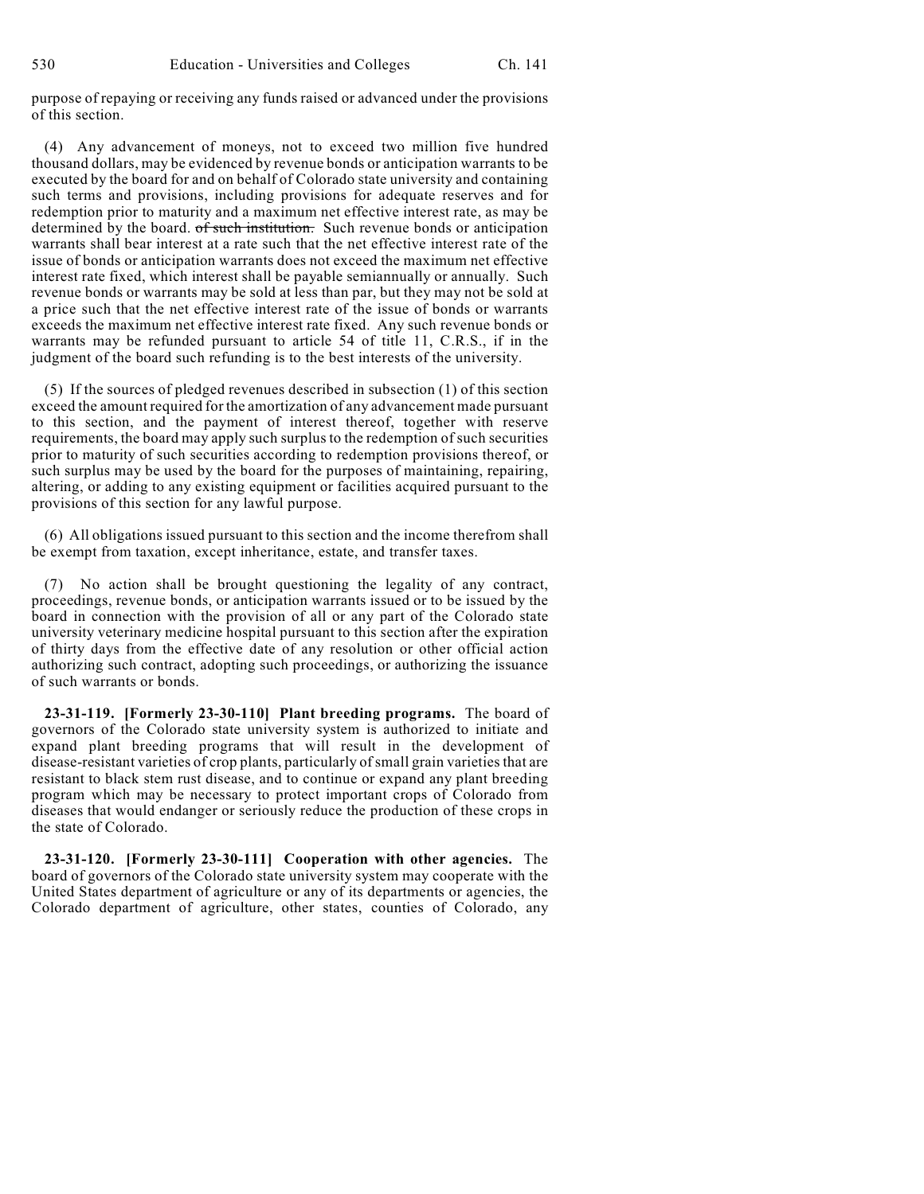purpose of repaying or receiving any funds raised or advanced under the provisions of this section.

(4) Any advancement of moneys, not to exceed two million five hundred thousand dollars, may be evidenced by revenue bonds or anticipation warrants to be executed by the board for and on behalf of Colorado state university and containing such terms and provisions, including provisions for adequate reserves and for redemption prior to maturity and a maximum net effective interest rate, as may be determined by the board. of such institution. Such revenue bonds or anticipation warrants shall bear interest at a rate such that the net effective interest rate of the issue of bonds or anticipation warrants does not exceed the maximum net effective interest rate fixed, which interest shall be payable semiannually or annually. Such revenue bonds or warrants may be sold at less than par, but they may not be sold at a price such that the net effective interest rate of the issue of bonds or warrants exceeds the maximum net effective interest rate fixed. Any such revenue bonds or warrants may be refunded pursuant to article 54 of title 11, C.R.S., if in the judgment of the board such refunding is to the best interests of the university.

(5) If the sources of pledged revenues described in subsection (1) of this section exceed the amount required for the amortization of any advancement made pursuant to this section, and the payment of interest thereof, together with reserve requirements, the board may apply such surplus to the redemption of such securities prior to maturity of such securities according to redemption provisions thereof, or such surplus may be used by the board for the purposes of maintaining, repairing, altering, or adding to any existing equipment or facilities acquired pursuant to the provisions of this section for any lawful purpose.

(6) All obligations issued pursuant to this section and the income therefrom shall be exempt from taxation, except inheritance, estate, and transfer taxes.

(7) No action shall be brought questioning the legality of any contract, proceedings, revenue bonds, or anticipation warrants issued or to be issued by the board in connection with the provision of all or any part of the Colorado state university veterinary medicine hospital pursuant to this section after the expiration of thirty days from the effective date of any resolution or other official action authorizing such contract, adopting such proceedings, or authorizing the issuance of such warrants or bonds.

**23-31-119. [Formerly 23-30-110] Plant breeding programs.** The board of governors of the Colorado state university system is authorized to initiate and expand plant breeding programs that will result in the development of disease-resistant varieties of crop plants, particularly of small grain varieties that are resistant to black stem rust disease, and to continue or expand any plant breeding program which may be necessary to protect important crops of Colorado from diseases that would endanger or seriously reduce the production of these crops in the state of Colorado.

**23-31-120. [Formerly 23-30-111] Cooperation with other agencies.** The board of governors of the Colorado state university system may cooperate with the United States department of agriculture or any of its departments or agencies, the Colorado department of agriculture, other states, counties of Colorado, any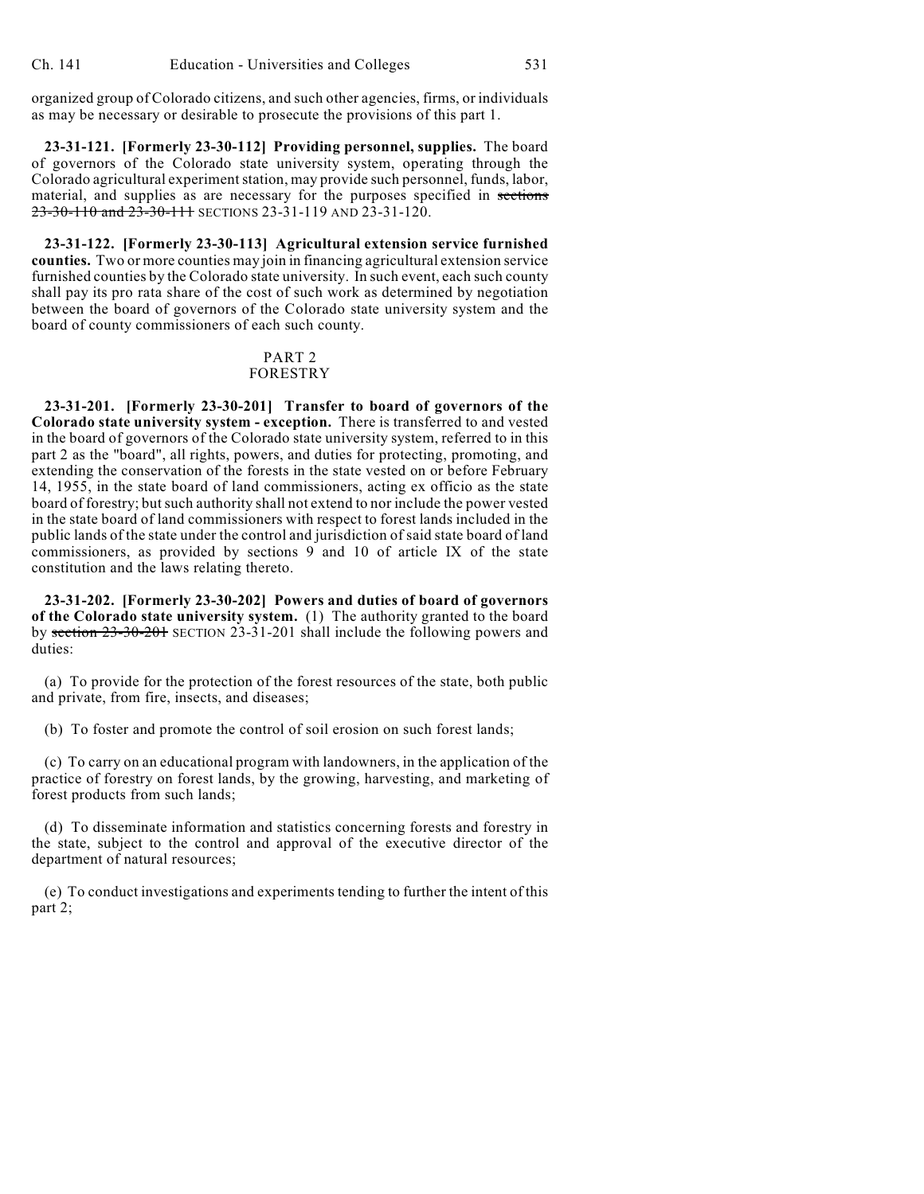organized group of Colorado citizens, and such other agencies, firms, or individuals as may be necessary or desirable to prosecute the provisions of this part 1.

**23-31-121. [Formerly 23-30-112] Providing personnel, supplies.** The board of governors of the Colorado state university system, operating through the Colorado agricultural experiment station, may provide such personnel, funds, labor, material, and supplies as are necessary for the purposes specified in sections 23-30-110 and 23-30-111 SECTIONS 23-31-119 AND 23-31-120.

**23-31-122. [Formerly 23-30-113] Agricultural extension service furnished counties.** Two or more counties may join in financing agricultural extension service furnished counties by the Colorado state university. In such event, each such county shall pay its pro rata share of the cost of such work as determined by negotiation between the board of governors of the Colorado state university system and the board of county commissioners of each such county.

# PART 2

### FORESTRY

**23-31-201. [Formerly 23-30-201] Transfer to board of governors of the Colorado state university system - exception.** There is transferred to and vested in the board of governors of the Colorado state university system, referred to in this part 2 as the "board", all rights, powers, and duties for protecting, promoting, and extending the conservation of the forests in the state vested on or before February 14, 1955, in the state board of land commissioners, acting ex officio as the state board of forestry; but such authority shall not extend to nor include the power vested in the state board of land commissioners with respect to forest lands included in the public lands of the state under the control and jurisdiction of said state board of land commissioners, as provided by sections 9 and 10 of article IX of the state constitution and the laws relating thereto.

**23-31-202. [Formerly 23-30-202] Powers and duties of board of governors of the Colorado state university system.** (1) The authority granted to the board by section 23-30-201 SECTION 23-31-201 shall include the following powers and duties:

(a) To provide for the protection of the forest resources of the state, both public and private, from fire, insects, and diseases;

(b) To foster and promote the control of soil erosion on such forest lands;

(c) To carry on an educational program with landowners, in the application of the practice of forestry on forest lands, by the growing, harvesting, and marketing of forest products from such lands;

(d) To disseminate information and statistics concerning forests and forestry in the state, subject to the control and approval of the executive director of the department of natural resources;

(e) To conduct investigations and experiments tending to further the intent of this part 2;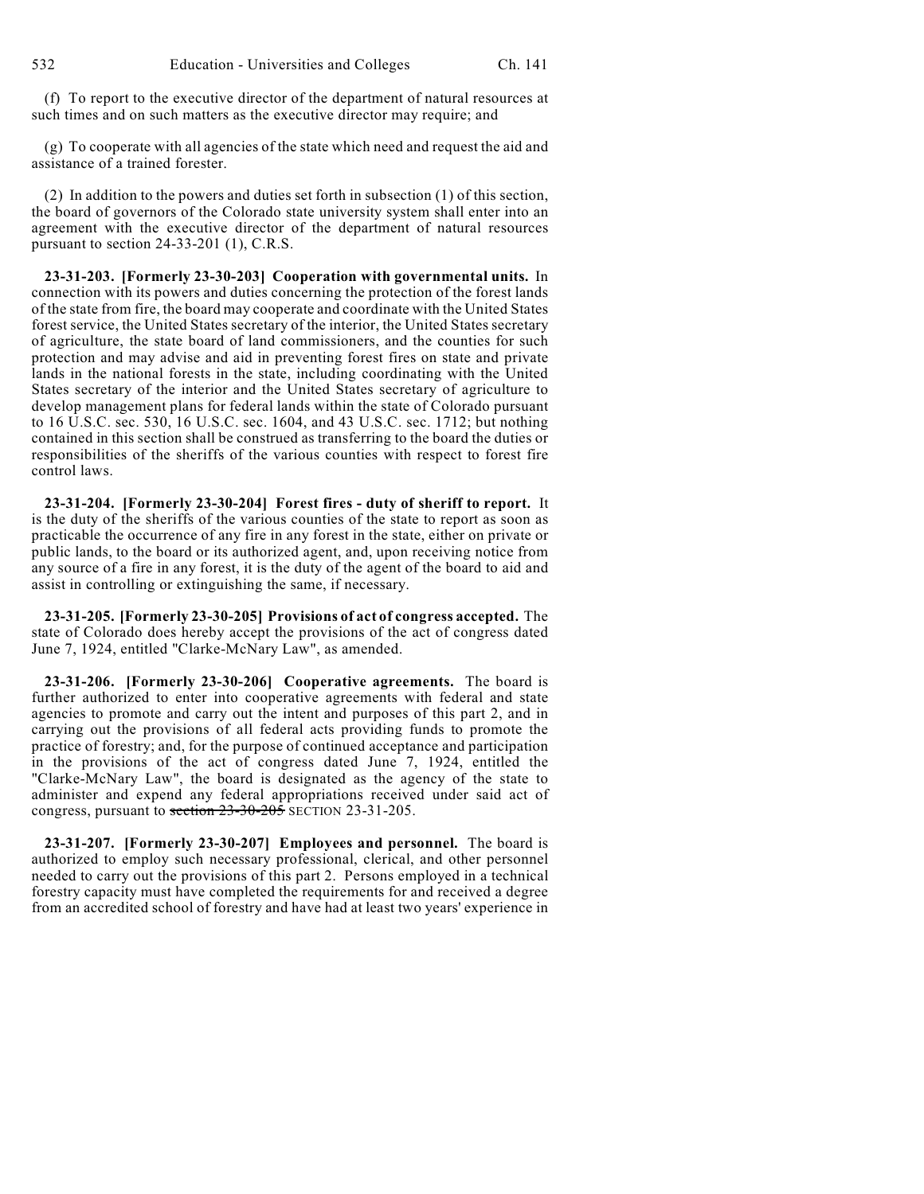(f) To report to the executive director of the department of natural resources at such times and on such matters as the executive director may require; and

(g) To cooperate with all agencies of the state which need and request the aid and assistance of a trained forester.

(2) In addition to the powers and duties set forth in subsection (1) of this section, the board of governors of the Colorado state university system shall enter into an agreement with the executive director of the department of natural resources pursuant to section 24-33-201 (1), C.R.S.

**23-31-203. [Formerly 23-30-203] Cooperation with governmental units.** In connection with its powers and duties concerning the protection of the forest lands of the state from fire, the board may cooperate and coordinate with the United States forest service, the United States secretary of the interior, the United States secretary of agriculture, the state board of land commissioners, and the counties for such protection and may advise and aid in preventing forest fires on state and private lands in the national forests in the state, including coordinating with the United States secretary of the interior and the United States secretary of agriculture to develop management plans for federal lands within the state of Colorado pursuant to 16 U.S.C. sec. 530, 16 U.S.C. sec. 1604, and 43 U.S.C. sec. 1712; but nothing contained in this section shall be construed as transferring to the board the duties or responsibilities of the sheriffs of the various counties with respect to forest fire control laws.

**23-31-204. [Formerly 23-30-204] Forest fires - duty of sheriff to report.** It is the duty of the sheriffs of the various counties of the state to report as soon as practicable the occurrence of any fire in any forest in the state, either on private or public lands, to the board or its authorized agent, and, upon receiving notice from any source of a fire in any forest, it is the duty of the agent of the board to aid and assist in controlling or extinguishing the same, if necessary.

**23-31-205. [Formerly 23-30-205] Provisions of act of congress accepted.** The state of Colorado does hereby accept the provisions of the act of congress dated June 7, 1924, entitled "Clarke-McNary Law", as amended.

**23-31-206. [Formerly 23-30-206] Cooperative agreements.** The board is further authorized to enter into cooperative agreements with federal and state agencies to promote and carry out the intent and purposes of this part 2, and in carrying out the provisions of all federal acts providing funds to promote the practice of forestry; and, for the purpose of continued acceptance and participation in the provisions of the act of congress dated June 7, 1924, entitled the "Clarke-McNary Law", the board is designated as the agency of the state to administer and expend any federal appropriations received under said act of congress, pursuant to section 23-30-205 SECTION 23-31-205.

**23-31-207. [Formerly 23-30-207] Employees and personnel.** The board is authorized to employ such necessary professional, clerical, and other personnel needed to carry out the provisions of this part 2. Persons employed in a technical forestry capacity must have completed the requirements for and received a degree from an accredited school of forestry and have had at least two years' experience in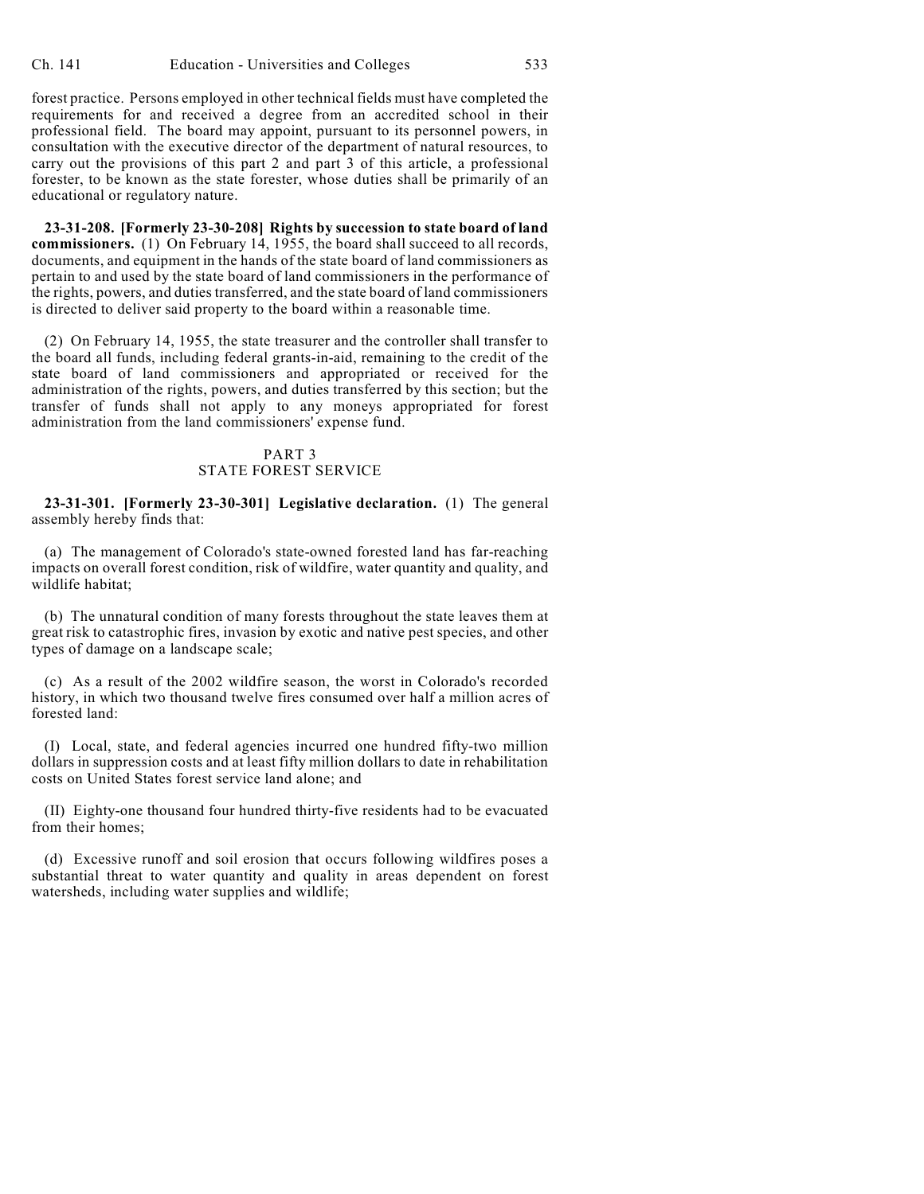forest practice. Persons employed in other technical fields must have completed the requirements for and received a degree from an accredited school in their professional field. The board may appoint, pursuant to its personnel powers, in consultation with the executive director of the department of natural resources, to carry out the provisions of this part 2 and part 3 of this article, a professional forester, to be known as the state forester, whose duties shall be primarily of an educational or regulatory nature.

**23-31-208. [Formerly 23-30-208] Rights by succession to state board of land commissioners.** (1) On February 14, 1955, the board shall succeed to all records, documents, and equipment in the hands of the state board of land commissioners as pertain to and used by the state board of land commissioners in the performance of the rights, powers, and duties transferred, and the state board of land commissioners is directed to deliver said property to the board within a reasonable time.

(2) On February 14, 1955, the state treasurer and the controller shall transfer to the board all funds, including federal grants-in-aid, remaining to the credit of the state board of land commissioners and appropriated or received for the administration of the rights, powers, and duties transferred by this section; but the transfer of funds shall not apply to any moneys appropriated for forest administration from the land commissioners' expense fund.

### PART 3 STATE FOREST SERVICE

**23-31-301. [Formerly 23-30-301] Legislative declaration.** (1) The general assembly hereby finds that:

(a) The management of Colorado's state-owned forested land has far-reaching impacts on overall forest condition, risk of wildfire, water quantity and quality, and wildlife habitat;

(b) The unnatural condition of many forests throughout the state leaves them at great risk to catastrophic fires, invasion by exotic and native pest species, and other types of damage on a landscape scale;

(c) As a result of the 2002 wildfire season, the worst in Colorado's recorded history, in which two thousand twelve fires consumed over half a million acres of forested land:

(I) Local, state, and federal agencies incurred one hundred fifty-two million dollars in suppression costs and at least fifty million dollars to date in rehabilitation costs on United States forest service land alone; and

(II) Eighty-one thousand four hundred thirty-five residents had to be evacuated from their homes;

(d) Excessive runoff and soil erosion that occurs following wildfires poses a substantial threat to water quantity and quality in areas dependent on forest watersheds, including water supplies and wildlife;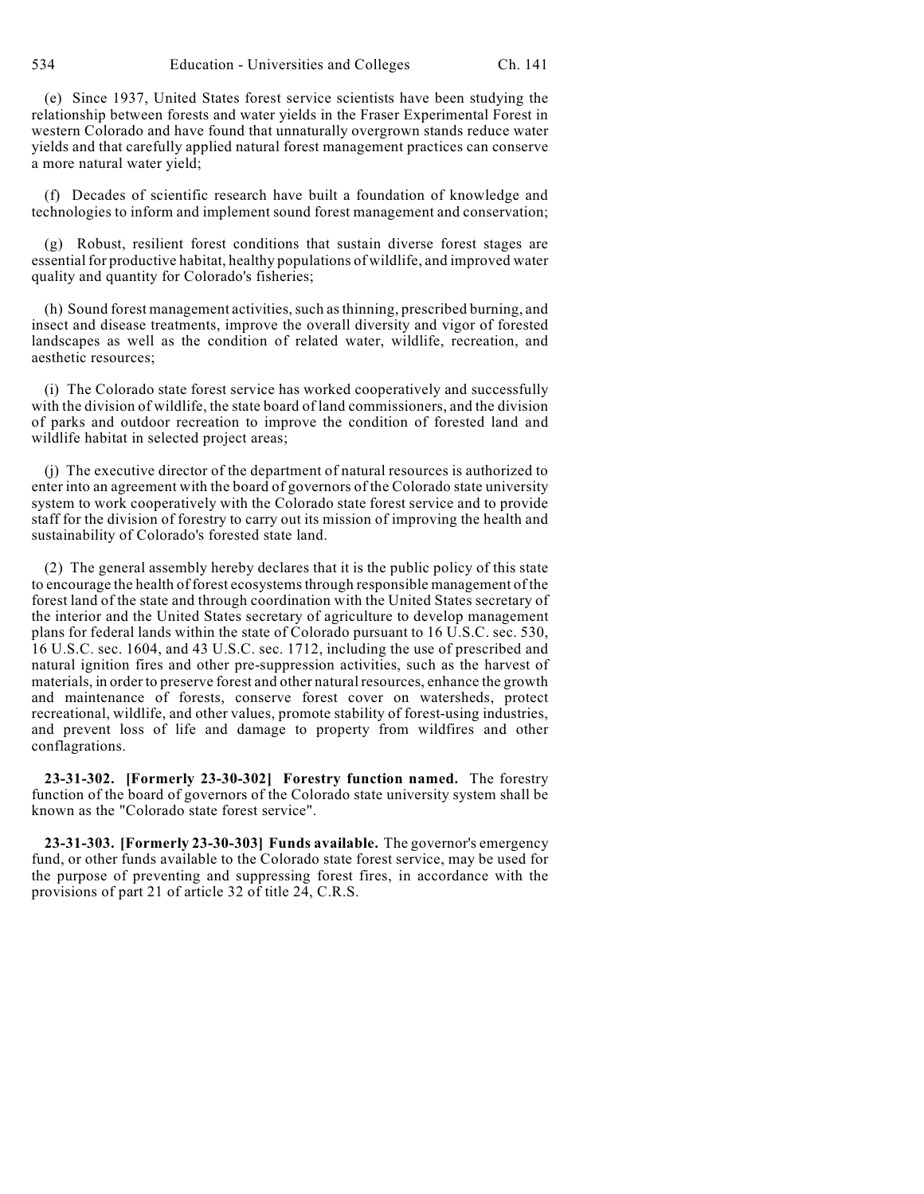(e) Since 1937, United States forest service scientists have been studying the relationship between forests and water yields in the Fraser Experimental Forest in western Colorado and have found that unnaturally overgrown stands reduce water yields and that carefully applied natural forest management practices can conserve a more natural water yield;

(f) Decades of scientific research have built a foundation of knowledge and technologies to inform and implement sound forest management and conservation;

(g) Robust, resilient forest conditions that sustain diverse forest stages are essential for productive habitat, healthy populations of wildlife, and improved water quality and quantity for Colorado's fisheries;

(h) Sound forest management activities, such as thinning, prescribed burning, and insect and disease treatments, improve the overall diversity and vigor of forested landscapes as well as the condition of related water, wildlife, recreation, and aesthetic resources;

(i) The Colorado state forest service has worked cooperatively and successfully with the division of wildlife, the state board of land commissioners, and the division of parks and outdoor recreation to improve the condition of forested land and wildlife habitat in selected project areas;

(j) The executive director of the department of natural resources is authorized to enter into an agreement with the board of governors of the Colorado state university system to work cooperatively with the Colorado state forest service and to provide staff for the division of forestry to carry out its mission of improving the health and sustainability of Colorado's forested state land.

(2) The general assembly hereby declares that it is the public policy of this state to encourage the health of forest ecosystems through responsible management of the forest land of the state and through coordination with the United States secretary of the interior and the United States secretary of agriculture to develop management plans for federal lands within the state of Colorado pursuant to 16 U.S.C. sec. 530, 16 U.S.C. sec. 1604, and 43 U.S.C. sec. 1712, including the use of prescribed and natural ignition fires and other pre-suppression activities, such as the harvest of materials, in order to preserve forest and other natural resources, enhance the growth and maintenance of forests, conserve forest cover on watersheds, protect recreational, wildlife, and other values, promote stability of forest-using industries, and prevent loss of life and damage to property from wildfires and other conflagrations.

**23-31-302. [Formerly 23-30-302] Forestry function named.** The forestry function of the board of governors of the Colorado state university system shall be known as the "Colorado state forest service".

**23-31-303. [Formerly 23-30-303] Funds available.** The governor's emergency fund, or other funds available to the Colorado state forest service, may be used for the purpose of preventing and suppressing forest fires, in accordance with the provisions of part 21 of article 32 of title 24, C.R.S.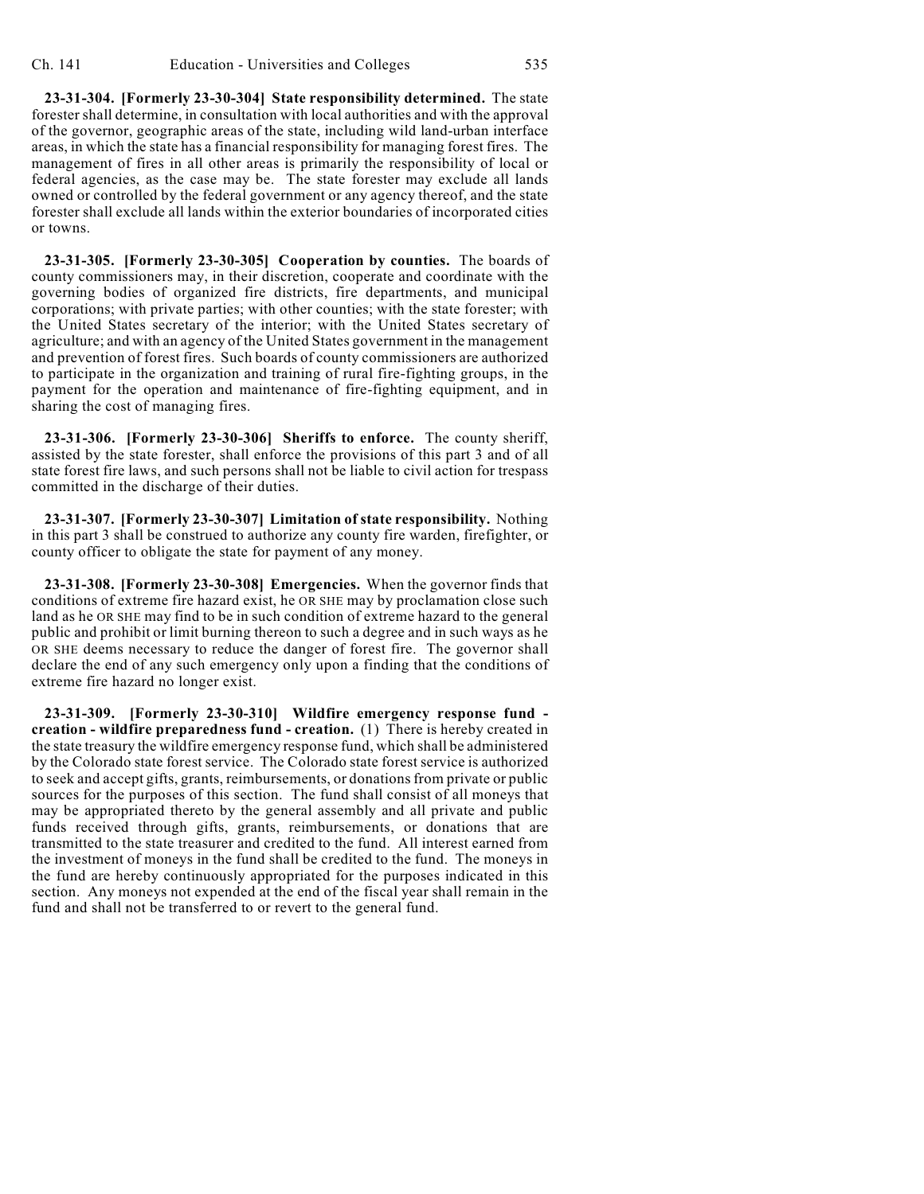**23-31-304. [Formerly 23-30-304] State responsibility determined.** The state forester shall determine, in consultation with local authorities and with the approval of the governor, geographic areas of the state, including wild land-urban interface areas, in which the state has a financial responsibility for managing forest fires. The management of fires in all other areas is primarily the responsibility of local or federal agencies, as the case may be. The state forester may exclude all lands owned or controlled by the federal government or any agency thereof, and the state forester shall exclude all lands within the exterior boundaries of incorporated cities or towns.

**23-31-305. [Formerly 23-30-305] Cooperation by counties.** The boards of county commissioners may, in their discretion, cooperate and coordinate with the governing bodies of organized fire districts, fire departments, and municipal corporations; with private parties; with other counties; with the state forester; with the United States secretary of the interior; with the United States secretary of agriculture; and with an agency of the United States government in the management and prevention of forest fires. Such boards of county commissioners are authorized to participate in the organization and training of rural fire-fighting groups, in the payment for the operation and maintenance of fire-fighting equipment, and in sharing the cost of managing fires.

**23-31-306. [Formerly 23-30-306] Sheriffs to enforce.** The county sheriff, assisted by the state forester, shall enforce the provisions of this part 3 and of all state forest fire laws, and such persons shall not be liable to civil action for trespass committed in the discharge of their duties.

**23-31-307. [Formerly 23-30-307] Limitation of state responsibility.** Nothing in this part 3 shall be construed to authorize any county fire warden, firefighter, or county officer to obligate the state for payment of any money.

**23-31-308. [Formerly 23-30-308] Emergencies.** When the governor finds that conditions of extreme fire hazard exist, he OR SHE may by proclamation close such land as he OR SHE may find to be in such condition of extreme hazard to the general public and prohibit or limit burning thereon to such a degree and in such ways as he OR SHE deems necessary to reduce the danger of forest fire. The governor shall declare the end of any such emergency only upon a finding that the conditions of extreme fire hazard no longer exist.

**23-31-309. [Formerly 23-30-310] Wildfire emergency response fund creation - wildfire preparedness fund - creation.** (1) There is hereby created in the state treasury the wildfire emergency response fund, which shall be administered by the Colorado state forest service. The Colorado state forest service is authorized to seek and accept gifts, grants, reimbursements, or donations from private or public sources for the purposes of this section. The fund shall consist of all moneys that may be appropriated thereto by the general assembly and all private and public funds received through gifts, grants, reimbursements, or donations that are transmitted to the state treasurer and credited to the fund. All interest earned from the investment of moneys in the fund shall be credited to the fund. The moneys in the fund are hereby continuously appropriated for the purposes indicated in this section. Any moneys not expended at the end of the fiscal year shall remain in the fund and shall not be transferred to or revert to the general fund.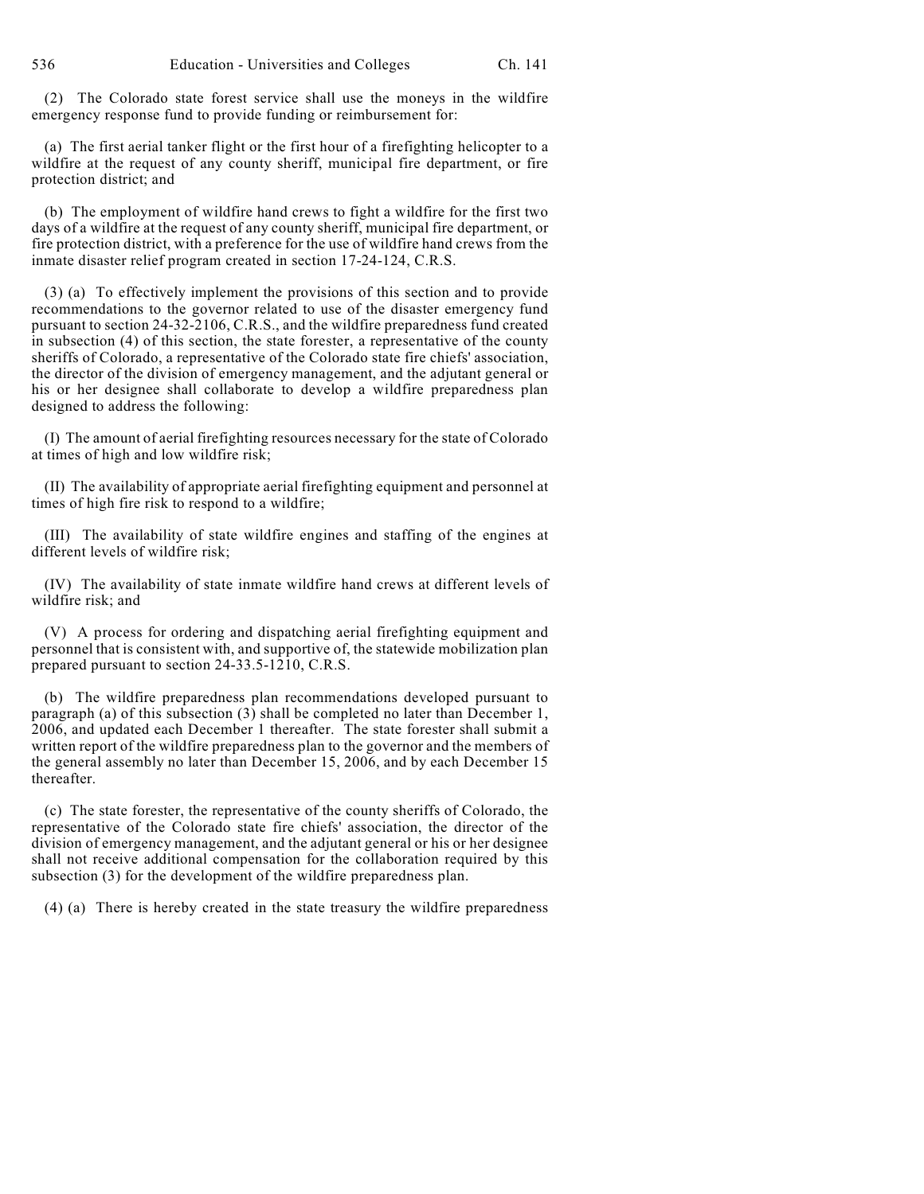(2) The Colorado state forest service shall use the moneys in the wildfire emergency response fund to provide funding or reimbursement for:

(a) The first aerial tanker flight or the first hour of a firefighting helicopter to a wildfire at the request of any county sheriff, municipal fire department, or fire protection district; and

(b) The employment of wildfire hand crews to fight a wildfire for the first two days of a wildfire at the request of any county sheriff, municipal fire department, or fire protection district, with a preference for the use of wildfire hand crews from the inmate disaster relief program created in section 17-24-124, C.R.S.

(3) (a) To effectively implement the provisions of this section and to provide recommendations to the governor related to use of the disaster emergency fund pursuant to section 24-32-2106, C.R.S., and the wildfire preparedness fund created in subsection (4) of this section, the state forester, a representative of the county sheriffs of Colorado, a representative of the Colorado state fire chiefs' association, the director of the division of emergency management, and the adjutant general or his or her designee shall collaborate to develop a wildfire preparedness plan designed to address the following:

(I) The amount of aerial firefighting resources necessary for the state of Colorado at times of high and low wildfire risk;

(II) The availability of appropriate aerial firefighting equipment and personnel at times of high fire risk to respond to a wildfire;

(III) The availability of state wildfire engines and staffing of the engines at different levels of wildfire risk;

(IV) The availability of state inmate wildfire hand crews at different levels of wildfire risk; and

(V) A process for ordering and dispatching aerial firefighting equipment and personnel that is consistent with, and supportive of, the statewide mobilization plan prepared pursuant to section 24-33.5-1210, C.R.S.

(b) The wildfire preparedness plan recommendations developed pursuant to paragraph (a) of this subsection (3) shall be completed no later than December 1, 2006, and updated each December 1 thereafter. The state forester shall submit a written report of the wildfire preparedness plan to the governor and the members of the general assembly no later than December 15, 2006, and by each December 15 thereafter.

(c) The state forester, the representative of the county sheriffs of Colorado, the representative of the Colorado state fire chiefs' association, the director of the division of emergency management, and the adjutant general or his or her designee shall not receive additional compensation for the collaboration required by this subsection (3) for the development of the wildfire preparedness plan.

(4) (a) There is hereby created in the state treasury the wildfire preparedness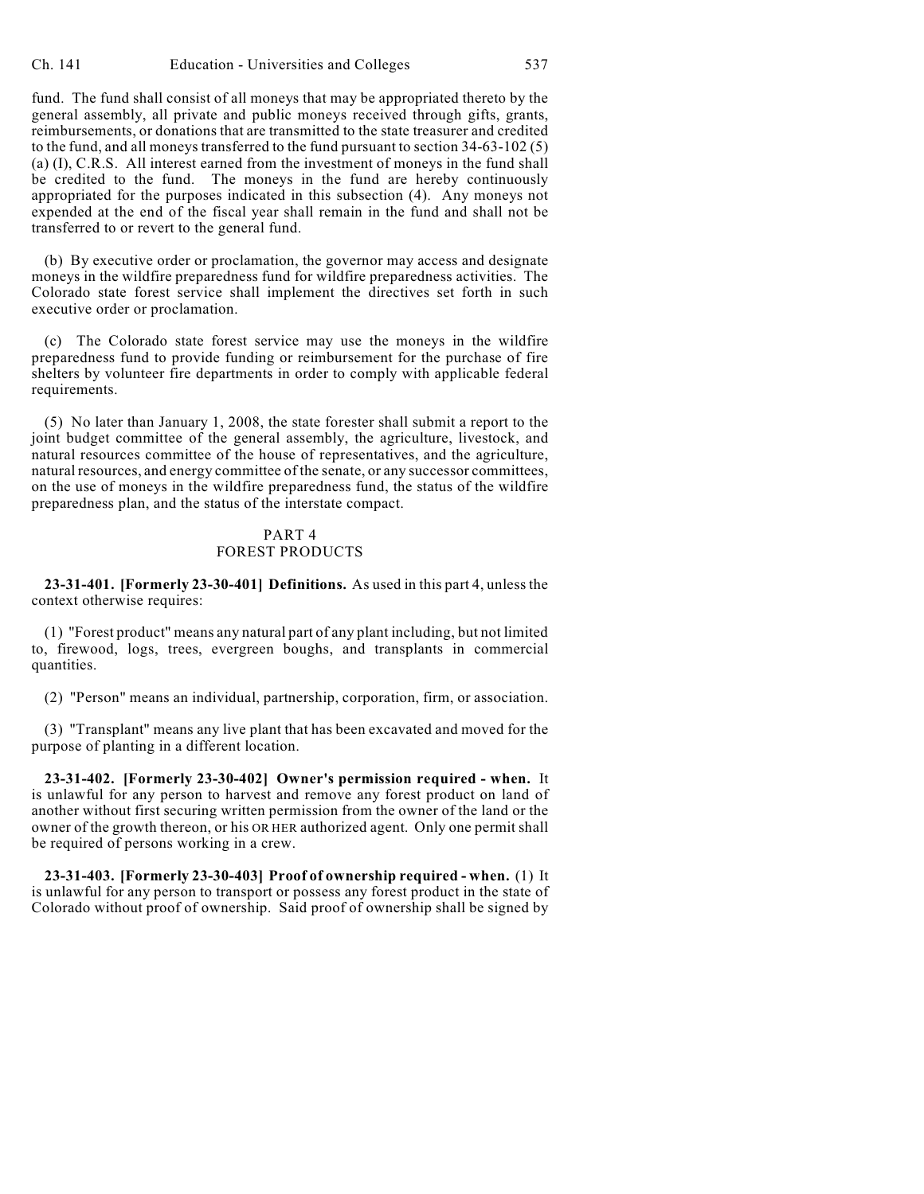fund. The fund shall consist of all moneys that may be appropriated thereto by the general assembly, all private and public moneys received through gifts, grants, reimbursements, or donations that are transmitted to the state treasurer and credited to the fund, and all moneys transferred to the fund pursuant to section 34-63-102 (5) (a) (I), C.R.S. All interest earned from the investment of moneys in the fund shall be credited to the fund. The moneys in the fund are hereby continuously appropriated for the purposes indicated in this subsection (4). Any moneys not expended at the end of the fiscal year shall remain in the fund and shall not be transferred to or revert to the general fund.

(b) By executive order or proclamation, the governor may access and designate moneys in the wildfire preparedness fund for wildfire preparedness activities. The Colorado state forest service shall implement the directives set forth in such executive order or proclamation.

(c) The Colorado state forest service may use the moneys in the wildfire preparedness fund to provide funding or reimbursement for the purchase of fire shelters by volunteer fire departments in order to comply with applicable federal requirements.

(5) No later than January 1, 2008, the state forester shall submit a report to the joint budget committee of the general assembly, the agriculture, livestock, and natural resources committee of the house of representatives, and the agriculture, natural resources, and energy committee of the senate, or any successor committees, on the use of moneys in the wildfire preparedness fund, the status of the wildfire preparedness plan, and the status of the interstate compact.

#### PART 4 FOREST PRODUCTS

**23-31-401. [Formerly 23-30-401] Definitions.** As used in this part 4, unless the context otherwise requires:

(1) "Forest product" means any natural part of any plant including, but not limited to, firewood, logs, trees, evergreen boughs, and transplants in commercial quantities.

(2) "Person" means an individual, partnership, corporation, firm, or association.

(3) "Transplant" means any live plant that has been excavated and moved for the purpose of planting in a different location.

**23-31-402. [Formerly 23-30-402] Owner's permission required - when.** It is unlawful for any person to harvest and remove any forest product on land of another without first securing written permission from the owner of the land or the owner of the growth thereon, or his OR HER authorized agent. Only one permit shall be required of persons working in a crew.

**23-31-403. [Formerly 23-30-403] Proof of ownership required - when.** (1) It is unlawful for any person to transport or possess any forest product in the state of Colorado without proof of ownership. Said proof of ownership shall be signed by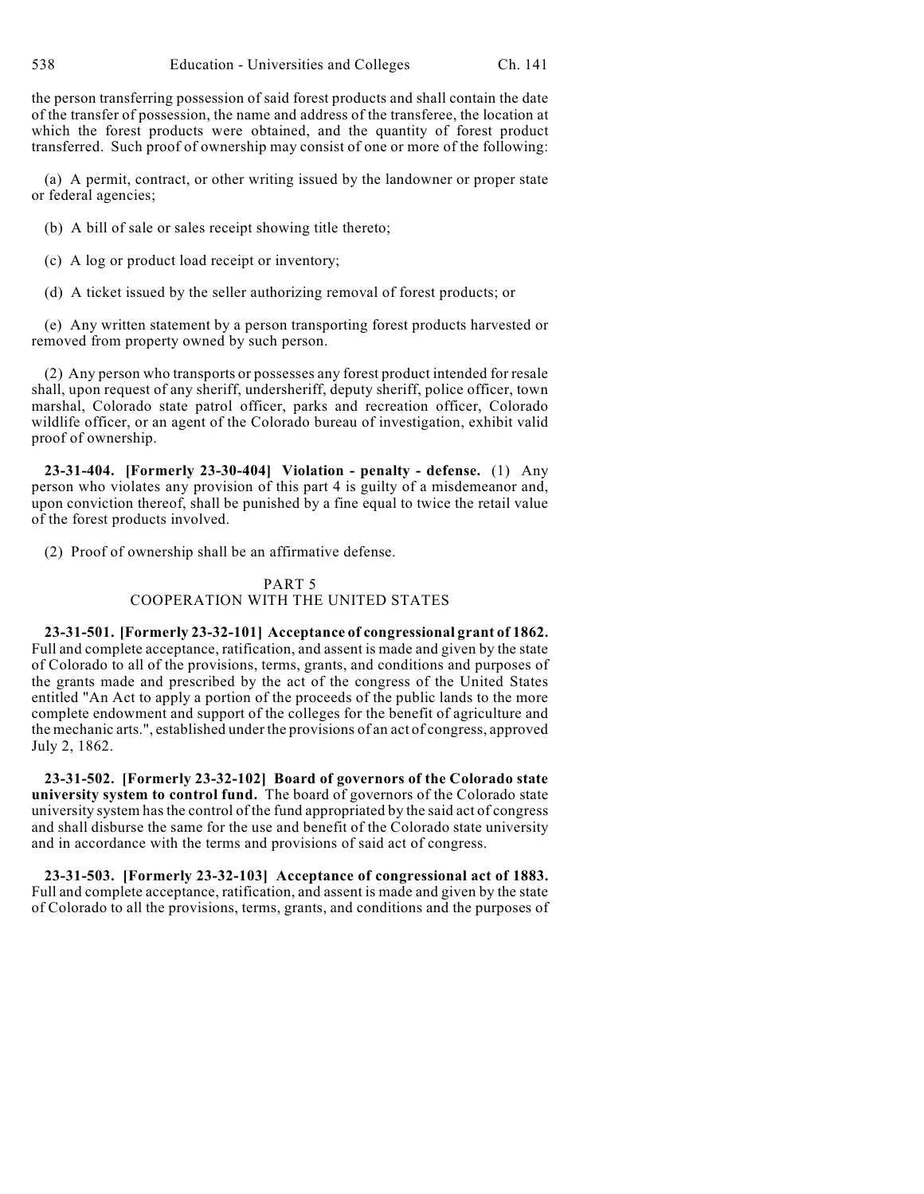the person transferring possession of said forest products and shall contain the date of the transfer of possession, the name and address of the transferee, the location at which the forest products were obtained, and the quantity of forest product transferred. Such proof of ownership may consist of one or more of the following:

(a) A permit, contract, or other writing issued by the landowner or proper state or federal agencies;

- (b) A bill of sale or sales receipt showing title thereto;
- (c) A log or product load receipt or inventory;
- (d) A ticket issued by the seller authorizing removal of forest products; or

(e) Any written statement by a person transporting forest products harvested or removed from property owned by such person.

(2) Any person who transports or possesses any forest product intended for resale shall, upon request of any sheriff, undersheriff, deputy sheriff, police officer, town marshal, Colorado state patrol officer, parks and recreation officer, Colorado wildlife officer, or an agent of the Colorado bureau of investigation, exhibit valid proof of ownership.

**23-31-404. [Formerly 23-30-404] Violation - penalty - defense.** (1) Any person who violates any provision of this part 4 is guilty of a misdemeanor and, upon conviction thereof, shall be punished by a fine equal to twice the retail value of the forest products involved.

(2) Proof of ownership shall be an affirmative defense.

## PART 5 COOPERATION WITH THE UNITED STATES

**23-31-501. [Formerly 23-32-101] Acceptance of congressional grant of 1862.** Full and complete acceptance, ratification, and assent is made and given by the state of Colorado to all of the provisions, terms, grants, and conditions and purposes of the grants made and prescribed by the act of the congress of the United States entitled "An Act to apply a portion of the proceeds of the public lands to the more complete endowment and support of the colleges for the benefit of agriculture and the mechanic arts.", established under the provisions of an act of congress, approved July 2, 1862.

**23-31-502. [Formerly 23-32-102] Board of governors of the Colorado state university system to control fund.** The board of governors of the Colorado state university system has the control of the fund appropriated by the said act of congress and shall disburse the same for the use and benefit of the Colorado state university and in accordance with the terms and provisions of said act of congress.

**23-31-503. [Formerly 23-32-103] Acceptance of congressional act of 1883.** Full and complete acceptance, ratification, and assent is made and given by the state of Colorado to all the provisions, terms, grants, and conditions and the purposes of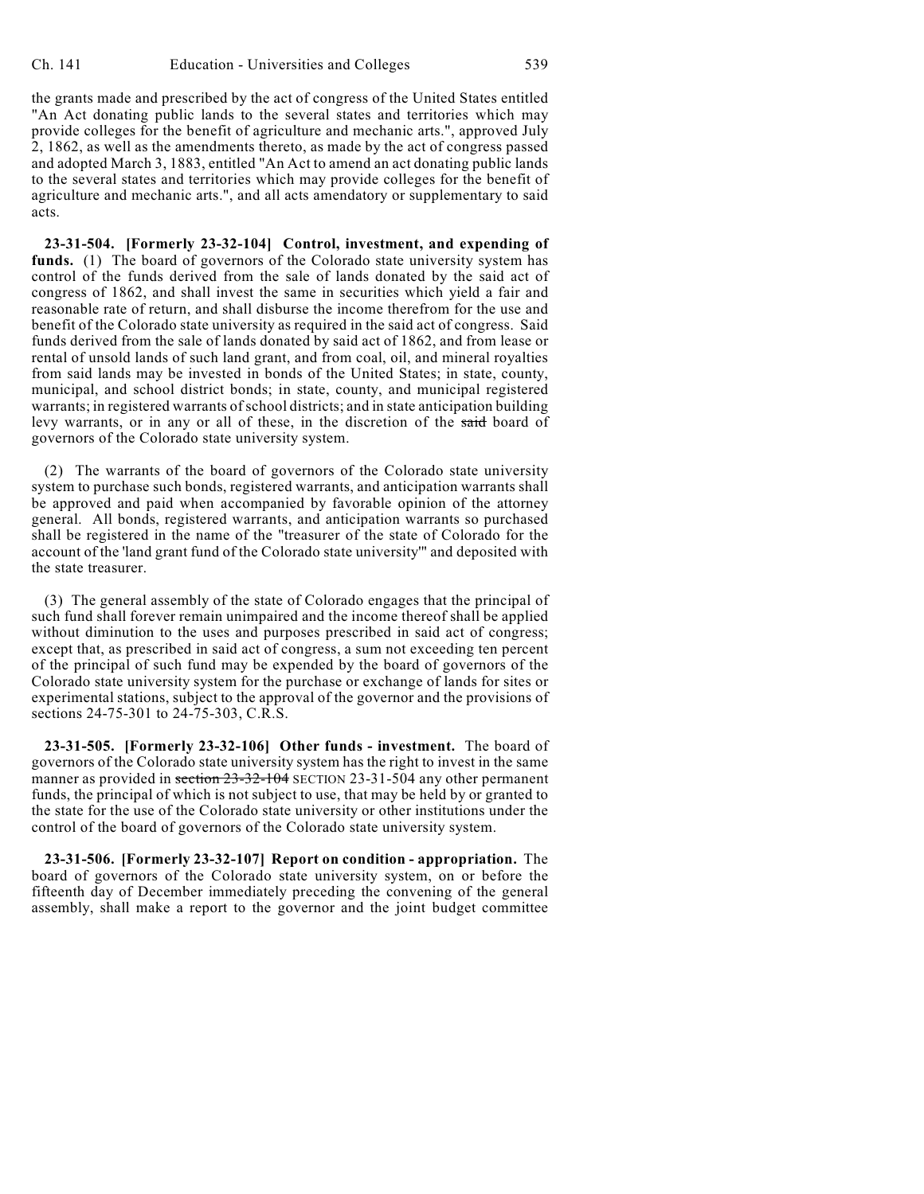the grants made and prescribed by the act of congress of the United States entitled "An Act donating public lands to the several states and territories which may provide colleges for the benefit of agriculture and mechanic arts.", approved July 2, 1862, as well as the amendments thereto, as made by the act of congress passed and adopted March 3, 1883, entitled "An Act to amend an act donating public lands to the several states and territories which may provide colleges for the benefit of agriculture and mechanic arts.", and all acts amendatory or supplementary to said acts.

**23-31-504. [Formerly 23-32-104] Control, investment, and expending of funds.** (1) The board of governors of the Colorado state university system has control of the funds derived from the sale of lands donated by the said act of congress of 1862, and shall invest the same in securities which yield a fair and reasonable rate of return, and shall disburse the income therefrom for the use and benefit of the Colorado state university as required in the said act of congress. Said funds derived from the sale of lands donated by said act of 1862, and from lease or rental of unsold lands of such land grant, and from coal, oil, and mineral royalties from said lands may be invested in bonds of the United States; in state, county, municipal, and school district bonds; in state, county, and municipal registered warrants; in registered warrants of school districts; and in state anticipation building levy warrants, or in any or all of these, in the discretion of the said board of governors of the Colorado state university system.

(2) The warrants of the board of governors of the Colorado state university system to purchase such bonds, registered warrants, and anticipation warrants shall be approved and paid when accompanied by favorable opinion of the attorney general. All bonds, registered warrants, and anticipation warrants so purchased shall be registered in the name of the "treasurer of the state of Colorado for the account of the 'land grant fund of the Colorado state university'" and deposited with the state treasurer.

(3) The general assembly of the state of Colorado engages that the principal of such fund shall forever remain unimpaired and the income thereof shall be applied without diminution to the uses and purposes prescribed in said act of congress; except that, as prescribed in said act of congress, a sum not exceeding ten percent of the principal of such fund may be expended by the board of governors of the Colorado state university system for the purchase or exchange of lands for sites or experimental stations, subject to the approval of the governor and the provisions of sections 24-75-301 to 24-75-303, C.R.S.

**23-31-505. [Formerly 23-32-106] Other funds - investment.** The board of governors of the Colorado state university system has the right to invest in the same manner as provided in section 23-32-104 SECTION 23-31-504 any other permanent funds, the principal of which is not subject to use, that may be held by or granted to the state for the use of the Colorado state university or other institutions under the control of the board of governors of the Colorado state university system.

**23-31-506. [Formerly 23-32-107] Report on condition - appropriation.** The board of governors of the Colorado state university system, on or before the fifteenth day of December immediately preceding the convening of the general assembly, shall make a report to the governor and the joint budget committee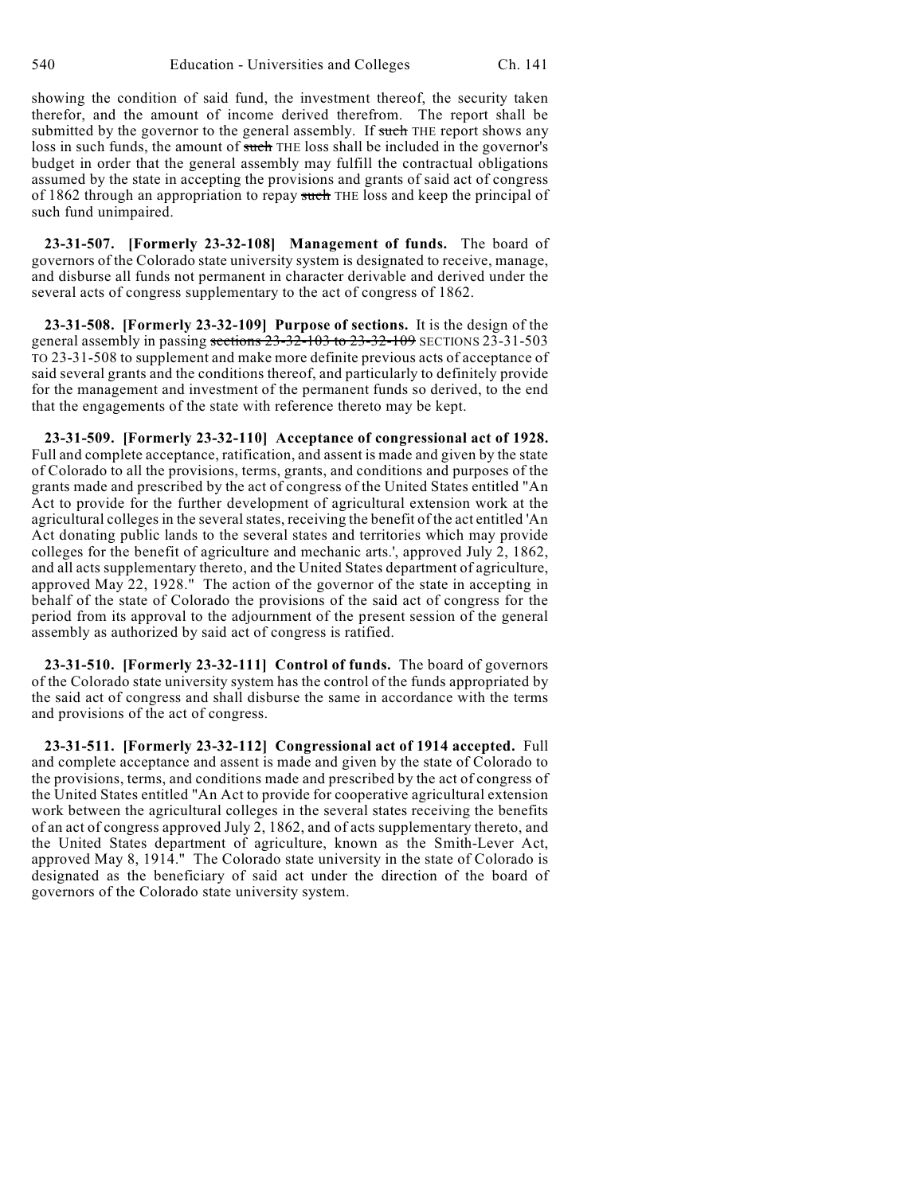showing the condition of said fund, the investment thereof, the security taken therefor, and the amount of income derived therefrom. The report shall be submitted by the governor to the general assembly. If such THE report shows any loss in such funds, the amount of such THE loss shall be included in the governor's budget in order that the general assembly may fulfill the contractual obligations assumed by the state in accepting the provisions and grants of said act of congress of 1862 through an appropriation to repay such THE loss and keep the principal of such fund unimpaired.

**23-31-507. [Formerly 23-32-108] Management of funds.** The board of governors of the Colorado state university system is designated to receive, manage, and disburse all funds not permanent in character derivable and derived under the several acts of congress supplementary to the act of congress of 1862.

**23-31-508. [Formerly 23-32-109] Purpose of sections.** It is the design of the general assembly in passing sections 23-32-103 to 23-32-109 SECTIONS 23-31-503 TO 23-31-508 to supplement and make more definite previous acts of acceptance of said several grants and the conditions thereof, and particularly to definitely provide for the management and investment of the permanent funds so derived, to the end that the engagements of the state with reference thereto may be kept.

**23-31-509. [Formerly 23-32-110] Acceptance of congressional act of 1928.** Full and complete acceptance, ratification, and assent is made and given by the state of Colorado to all the provisions, terms, grants, and conditions and purposes of the grants made and prescribed by the act of congress of the United States entitled "An Act to provide for the further development of agricultural extension work at the agricultural colleges in the severalstates, receiving the benefit of the act entitled 'An Act donating public lands to the several states and territories which may provide colleges for the benefit of agriculture and mechanic arts.', approved July 2, 1862, and all acts supplementary thereto, and the United States department of agriculture, approved May 22, 1928." The action of the governor of the state in accepting in behalf of the state of Colorado the provisions of the said act of congress for the period from its approval to the adjournment of the present session of the general assembly as authorized by said act of congress is ratified.

**23-31-510. [Formerly 23-32-111] Control of funds.** The board of governors of the Colorado state university system has the control of the funds appropriated by the said act of congress and shall disburse the same in accordance with the terms and provisions of the act of congress.

**23-31-511. [Formerly 23-32-112] Congressional act of 1914 accepted.** Full and complete acceptance and assent is made and given by the state of Colorado to the provisions, terms, and conditions made and prescribed by the act of congress of the United States entitled "An Act to provide for cooperative agricultural extension work between the agricultural colleges in the several states receiving the benefits of an act of congress approved July 2, 1862, and of acts supplementary thereto, and the United States department of agriculture, known as the Smith-Lever Act, approved May 8, 1914." The Colorado state university in the state of Colorado is designated as the beneficiary of said act under the direction of the board of governors of the Colorado state university system.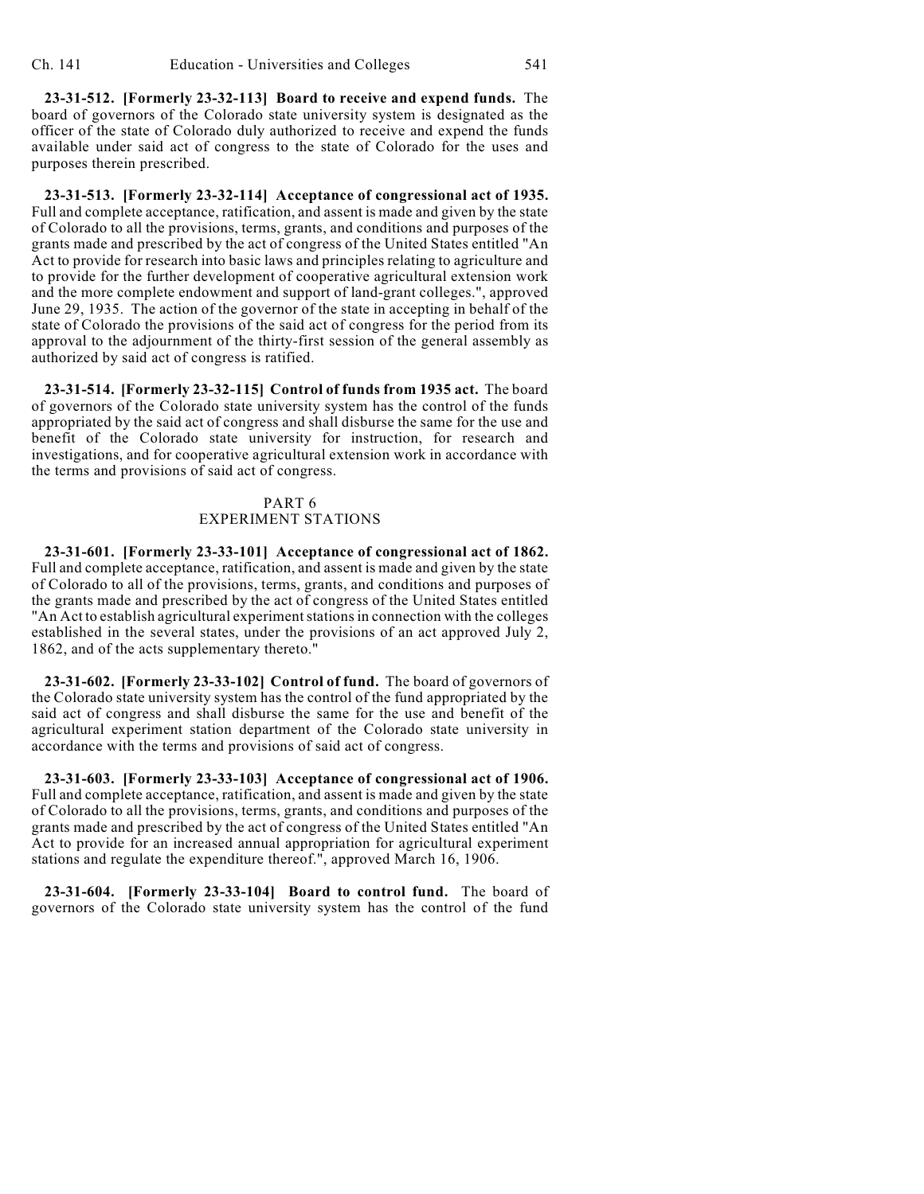**23-31-512. [Formerly 23-32-113] Board to receive and expend funds.** The board of governors of the Colorado state university system is designated as the officer of the state of Colorado duly authorized to receive and expend the funds available under said act of congress to the state of Colorado for the uses and purposes therein prescribed.

**23-31-513. [Formerly 23-32-114] Acceptance of congressional act of 1935.** Full and complete acceptance, ratification, and assent is made and given by the state of Colorado to all the provisions, terms, grants, and conditions and purposes of the grants made and prescribed by the act of congress of the United States entitled "An Act to provide for research into basic laws and principles relating to agriculture and to provide for the further development of cooperative agricultural extension work and the more complete endowment and support of land-grant colleges.", approved June 29, 1935. The action of the governor of the state in accepting in behalf of the state of Colorado the provisions of the said act of congress for the period from its approval to the adjournment of the thirty-first session of the general assembly as authorized by said act of congress is ratified.

**23-31-514. [Formerly 23-32-115] Control of funds from 1935 act.** The board of governors of the Colorado state university system has the control of the funds appropriated by the said act of congress and shall disburse the same for the use and benefit of the Colorado state university for instruction, for research and investigations, and for cooperative agricultural extension work in accordance with the terms and provisions of said act of congress.

## PART 6 EXPERIMENT STATIONS

**23-31-601. [Formerly 23-33-101] Acceptance of congressional act of 1862.** Full and complete acceptance, ratification, and assent is made and given by the state of Colorado to all of the provisions, terms, grants, and conditions and purposes of the grants made and prescribed by the act of congress of the United States entitled "An Act to establish agricultural experimentstations in connection with the colleges established in the several states, under the provisions of an act approved July 2, 1862, and of the acts supplementary thereto."

**23-31-602. [Formerly 23-33-102] Control of fund.** The board of governors of the Colorado state university system has the control of the fund appropriated by the said act of congress and shall disburse the same for the use and benefit of the agricultural experiment station department of the Colorado state university in accordance with the terms and provisions of said act of congress.

**23-31-603. [Formerly 23-33-103] Acceptance of congressional act of 1906.** Full and complete acceptance, ratification, and assent is made and given by the state of Colorado to all the provisions, terms, grants, and conditions and purposes of the grants made and prescribed by the act of congress of the United States entitled "An Act to provide for an increased annual appropriation for agricultural experiment stations and regulate the expenditure thereof.", approved March 16, 1906.

**23-31-604. [Formerly 23-33-104] Board to control fund.** The board of governors of the Colorado state university system has the control of the fund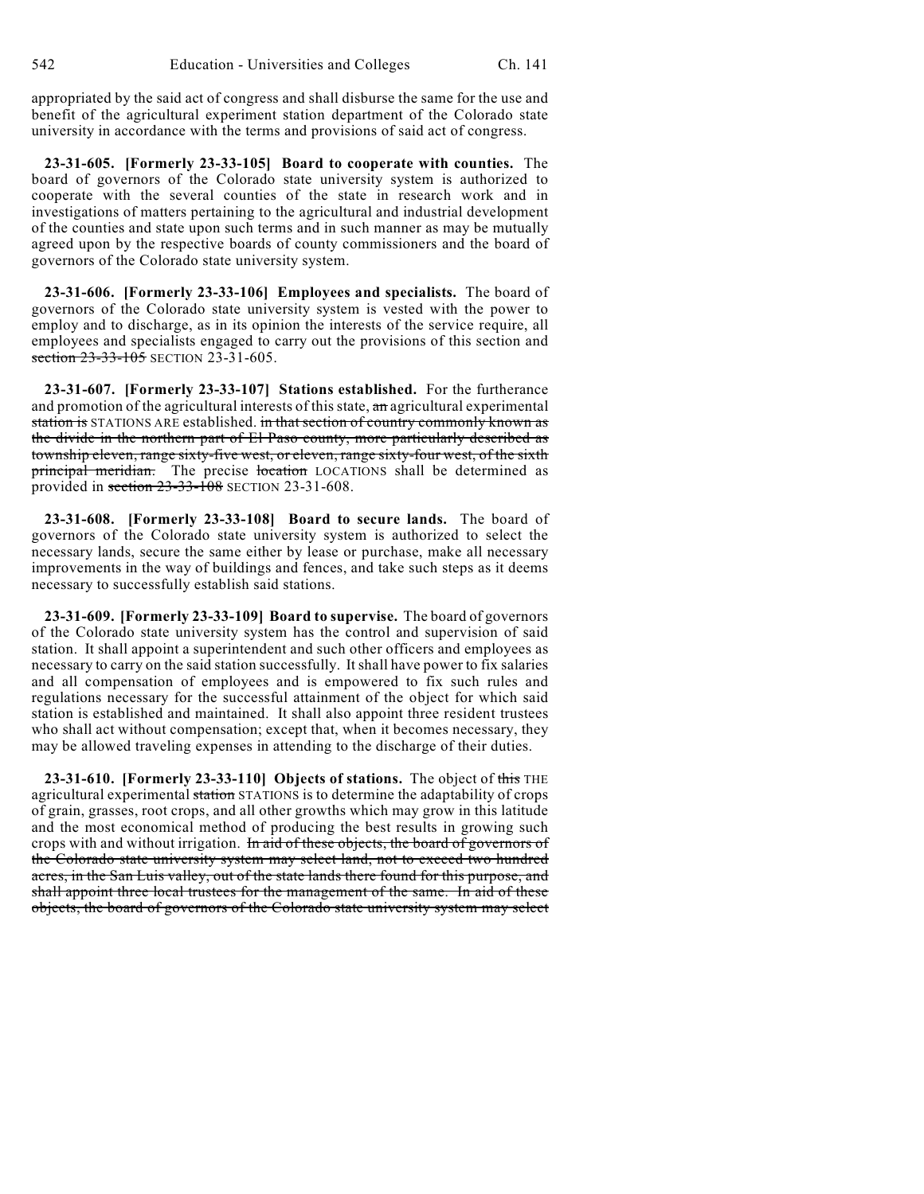appropriated by the said act of congress and shall disburse the same for the use and benefit of the agricultural experiment station department of the Colorado state university in accordance with the terms and provisions of said act of congress.

**23-31-605. [Formerly 23-33-105] Board to cooperate with counties.** The board of governors of the Colorado state university system is authorized to cooperate with the several counties of the state in research work and in investigations of matters pertaining to the agricultural and industrial development of the counties and state upon such terms and in such manner as may be mutually agreed upon by the respective boards of county commissioners and the board of governors of the Colorado state university system.

**23-31-606. [Formerly 23-33-106] Employees and specialists.** The board of governors of the Colorado state university system is vested with the power to employ and to discharge, as in its opinion the interests of the service require, all employees and specialists engaged to carry out the provisions of this section and section 23-33-105 SECTION 23-31-605.

**23-31-607. [Formerly 23-33-107] Stations established.** For the furtherance and promotion of the agricultural interests of this state, an agricultural experimental station is STATIONS ARE established. in that section of country commonly known as the divide in the northern part of El Paso county, more particularly described as township eleven, range sixty-five west, or eleven, range sixty-four west, of the sixth principal meridian. The precise location LOCATIONS shall be determined as provided in section 23-33-108 SECTION 23-31-608.

**23-31-608. [Formerly 23-33-108] Board to secure lands.** The board of governors of the Colorado state university system is authorized to select the necessary lands, secure the same either by lease or purchase, make all necessary improvements in the way of buildings and fences, and take such steps as it deems necessary to successfully establish said stations.

**23-31-609. [Formerly 23-33-109] Board to supervise.** The board of governors of the Colorado state university system has the control and supervision of said station. It shall appoint a superintendent and such other officers and employees as necessary to carry on the said station successfully. It shall have power to fix salaries and all compensation of employees and is empowered to fix such rules and regulations necessary for the successful attainment of the object for which said station is established and maintained. It shall also appoint three resident trustees who shall act without compensation; except that, when it becomes necessary, they may be allowed traveling expenses in attending to the discharge of their duties.

**23-31-610. [Formerly 23-33-110] Objects of stations.** The object of this THE agricultural experimental station STATIONS is to determine the adaptability of crops of grain, grasses, root crops, and all other growths which may grow in this latitude and the most economical method of producing the best results in growing such crops with and without irrigation. In aid of these objects, the board of governors of the Colorado state university system may select land, not to exceed two hundred acres, in the San Luis valley, out of the state lands there found for this purpose, and shall appoint three local trustees for the management of the same. In aid of these objects, the board of governors of the Colorado state university system may select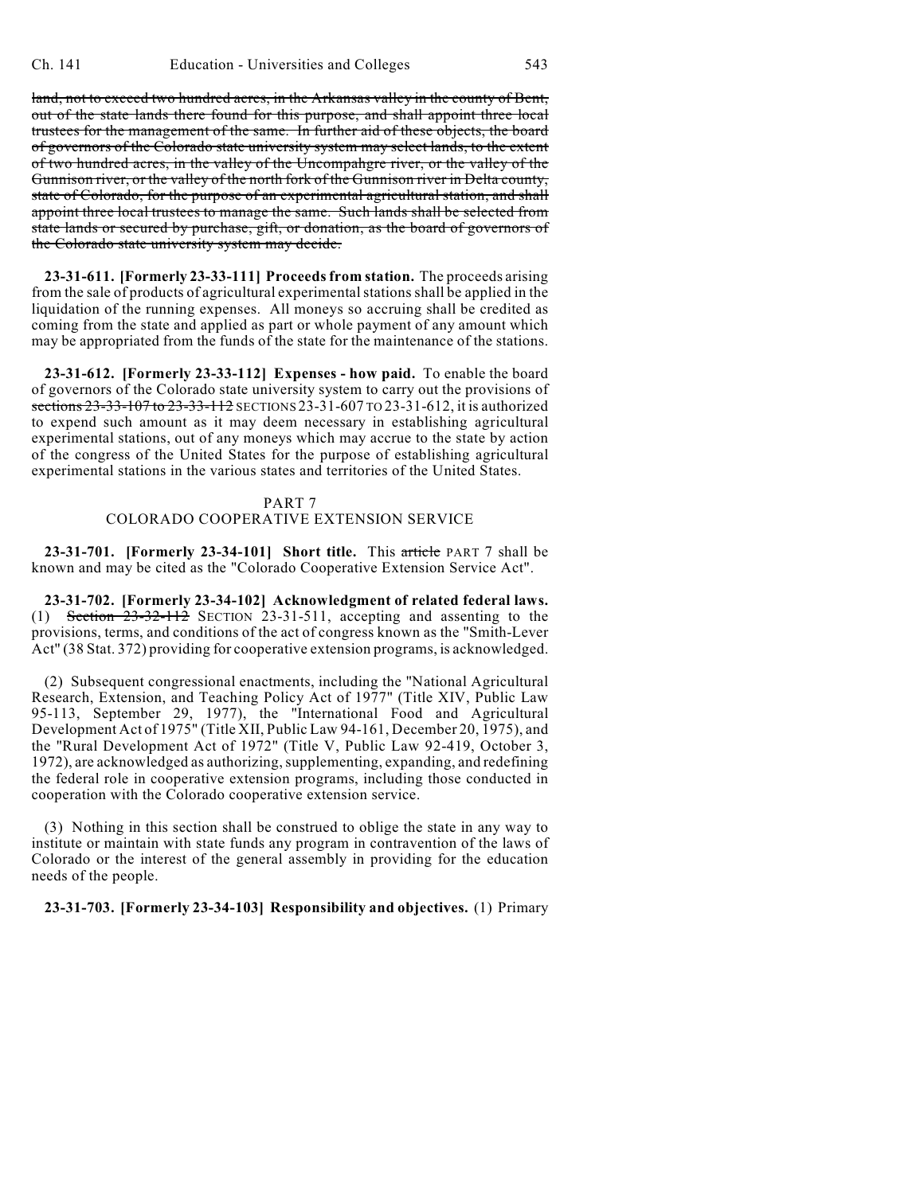land, not to exceed two hundred acres, in the Arkansas valley in the county of Bent, out of the state lands there found for this purpose, and shall appoint three local trustees for the management of the same. In further aid of these objects, the board of governors of the Colorado state university system may select lands, to the extent of two hundred acres, in the valley of the Uncompahgre river, or the valley of the Gunnison river, or the valley of the north fork of the Gunnison river in Delta county, state of Colorado, for the purpose of an experimental agricultural station, and shall appoint three local trustees to manage the same. Such lands shall be selected from state lands or secured by purchase, gift, or donation, as the board of governors of the Colorado state university system may decide.

**23-31-611. [Formerly 23-33-111] Proceeds from station.** The proceeds arising from the sale of products of agricultural experimental stations shall be applied in the liquidation of the running expenses. All moneys so accruing shall be credited as coming from the state and applied as part or whole payment of any amount which may be appropriated from the funds of the state for the maintenance of the stations.

**23-31-612. [Formerly 23-33-112] Expenses - how paid.** To enable the board of governors of the Colorado state university system to carry out the provisions of sections 23-33-107 to 23-33-112 SECTIONS 23-31-607 TO 23-31-612, it is authorized to expend such amount as it may deem necessary in establishing agricultural experimental stations, out of any moneys which may accrue to the state by action of the congress of the United States for the purpose of establishing agricultural experimental stations in the various states and territories of the United States.

# PART 7

# COLORADO COOPERATIVE EXTENSION SERVICE

**23-31-701. [Formerly 23-34-101] Short title.** This article PART 7 shall be known and may be cited as the "Colorado Cooperative Extension Service Act".

**23-31-702. [Formerly 23-34-102] Acknowledgment of related federal laws.** (1) Section  $23-32-112$  Section 23-31-511, accepting and assenting to the provisions, terms, and conditions of the act of congress known as the "Smith-Lever Act" (38 Stat. 372) providing for cooperative extension programs, is acknowledged.

(2) Subsequent congressional enactments, including the "National Agricultural Research, Extension, and Teaching Policy Act of 1977" (Title XIV, Public Law 95-113, September 29, 1977), the "International Food and Agricultural Development Act of 1975" (Title XII, Public Law 94-161, December 20, 1975), and the "Rural Development Act of 1972" (Title V, Public Law 92-419, October 3, 1972), are acknowledged as authorizing, supplementing, expanding, and redefining the federal role in cooperative extension programs, including those conducted in cooperation with the Colorado cooperative extension service.

(3) Nothing in this section shall be construed to oblige the state in any way to institute or maintain with state funds any program in contravention of the laws of Colorado or the interest of the general assembly in providing for the education needs of the people.

**23-31-703. [Formerly 23-34-103] Responsibility and objectives.** (1) Primary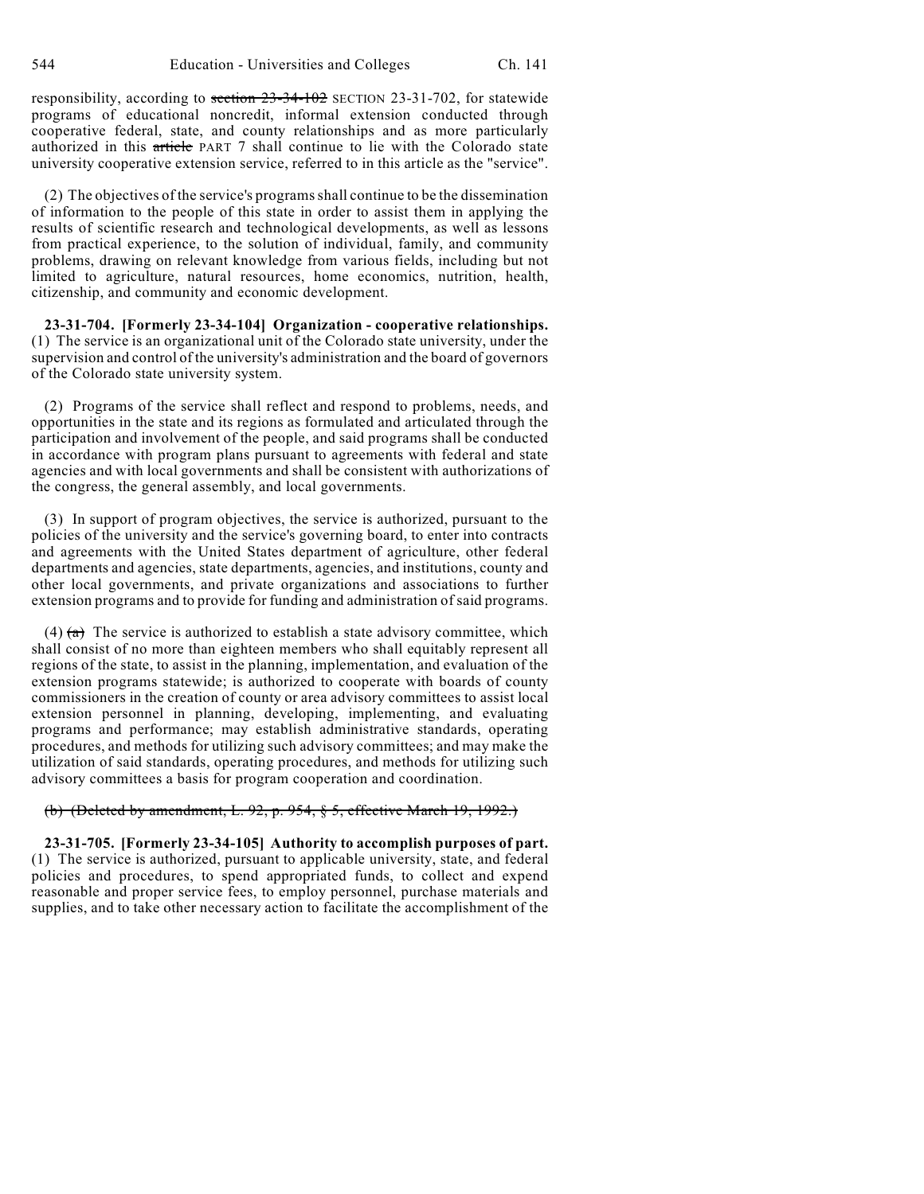responsibility, according to section 23-34-102 SECTION 23-31-702, for statewide programs of educational noncredit, informal extension conducted through cooperative federal, state, and county relationships and as more particularly authorized in this article PART 7 shall continue to lie with the Colorado state university cooperative extension service, referred to in this article as the "service".

(2) The objectives of the service's programs shall continue to be the dissemination of information to the people of this state in order to assist them in applying the results of scientific research and technological developments, as well as lessons from practical experience, to the solution of individual, family, and community problems, drawing on relevant knowledge from various fields, including but not limited to agriculture, natural resources, home economics, nutrition, health, citizenship, and community and economic development.

**23-31-704. [Formerly 23-34-104] Organization - cooperative relationships.** (1) The service is an organizational unit of the Colorado state university, under the supervision and control of the university's administration and the board of governors of the Colorado state university system.

(2) Programs of the service shall reflect and respond to problems, needs, and opportunities in the state and its regions as formulated and articulated through the participation and involvement of the people, and said programs shall be conducted in accordance with program plans pursuant to agreements with federal and state agencies and with local governments and shall be consistent with authorizations of the congress, the general assembly, and local governments.

(3) In support of program objectives, the service is authorized, pursuant to the policies of the university and the service's governing board, to enter into contracts and agreements with the United States department of agriculture, other federal departments and agencies, state departments, agencies, and institutions, county and other local governments, and private organizations and associations to further extension programs and to provide for funding and administration of said programs.

(4)  $(a)$  The service is authorized to establish a state advisory committee, which shall consist of no more than eighteen members who shall equitably represent all regions of the state, to assist in the planning, implementation, and evaluation of the extension programs statewide; is authorized to cooperate with boards of county commissioners in the creation of county or area advisory committees to assist local extension personnel in planning, developing, implementing, and evaluating programs and performance; may establish administrative standards, operating procedures, and methods for utilizing such advisory committees; and may make the utilization of said standards, operating procedures, and methods for utilizing such advisory committees a basis for program cooperation and coordination.

#### (b) (Deleted by amendment, L. 92, p. 954, § 5, effective March 19, 1992.)

**23-31-705. [Formerly 23-34-105] Authority to accomplish purposes of part.** (1) The service is authorized, pursuant to applicable university, state, and federal policies and procedures, to spend appropriated funds, to collect and expend reasonable and proper service fees, to employ personnel, purchase materials and supplies, and to take other necessary action to facilitate the accomplishment of the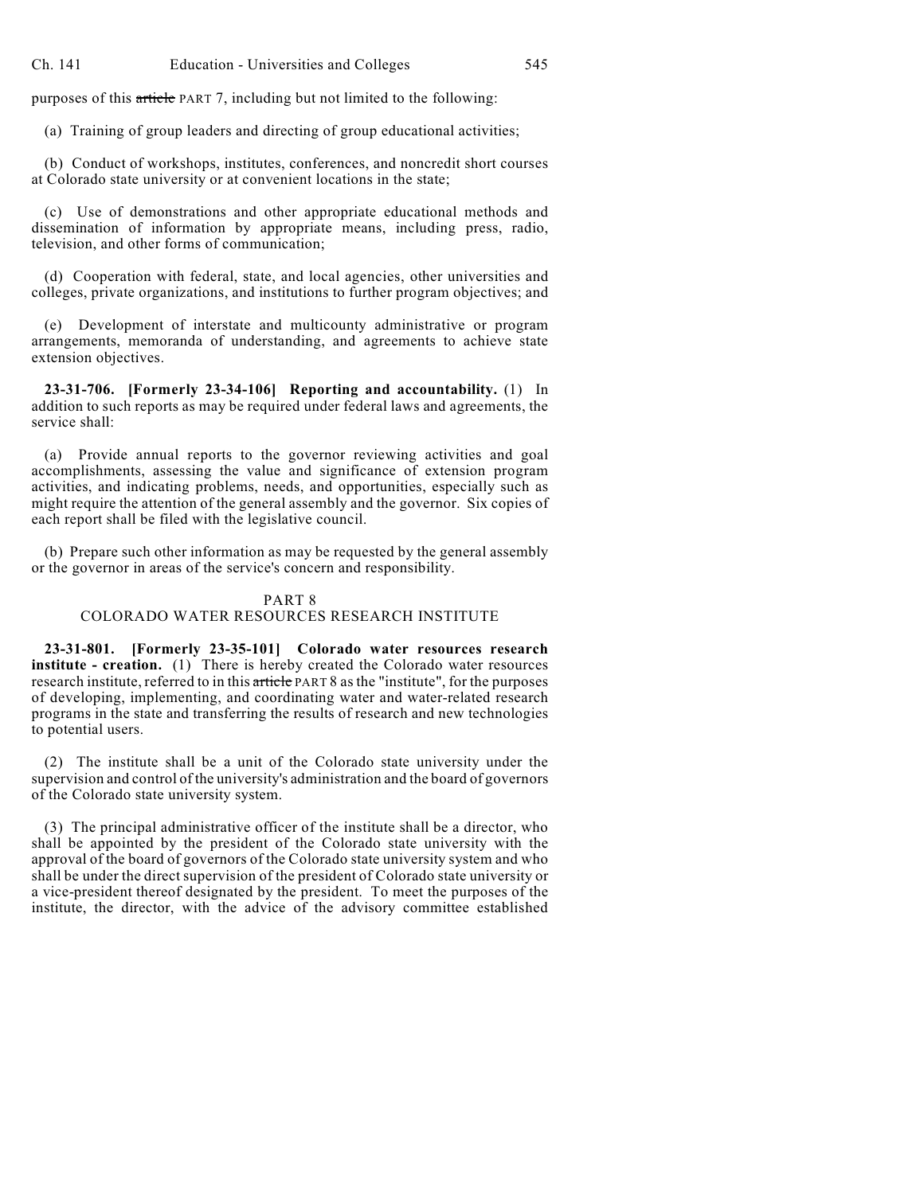purposes of this article PART 7, including but not limited to the following:

(a) Training of group leaders and directing of group educational activities;

(b) Conduct of workshops, institutes, conferences, and noncredit short courses at Colorado state university or at convenient locations in the state;

(c) Use of demonstrations and other appropriate educational methods and dissemination of information by appropriate means, including press, radio, television, and other forms of communication;

(d) Cooperation with federal, state, and local agencies, other universities and colleges, private organizations, and institutions to further program objectives; and

(e) Development of interstate and multicounty administrative or program arrangements, memoranda of understanding, and agreements to achieve state extension objectives.

**23-31-706. [Formerly 23-34-106] Reporting and accountability.** (1) In addition to such reports as may be required under federal laws and agreements, the service shall:

(a) Provide annual reports to the governor reviewing activities and goal accomplishments, assessing the value and significance of extension program activities, and indicating problems, needs, and opportunities, especially such as might require the attention of the general assembly and the governor. Six copies of each report shall be filed with the legislative council.

(b) Prepare such other information as may be requested by the general assembly or the governor in areas of the service's concern and responsibility.

#### PART 8

#### COLORADO WATER RESOURCES RESEARCH INSTITUTE

**23-31-801. [Formerly 23-35-101] Colorado water resources research institute - creation.** (1) There is hereby created the Colorado water resources research institute, referred to in this article PART 8 as the "institute", for the purposes of developing, implementing, and coordinating water and water-related research programs in the state and transferring the results of research and new technologies to potential users.

(2) The institute shall be a unit of the Colorado state university under the supervision and control of the university's administration and the board of governors of the Colorado state university system.

(3) The principal administrative officer of the institute shall be a director, who shall be appointed by the president of the Colorado state university with the approval of the board of governors of the Colorado state university system and who shall be under the direct supervision of the president of Colorado state university or a vice-president thereof designated by the president. To meet the purposes of the institute, the director, with the advice of the advisory committee established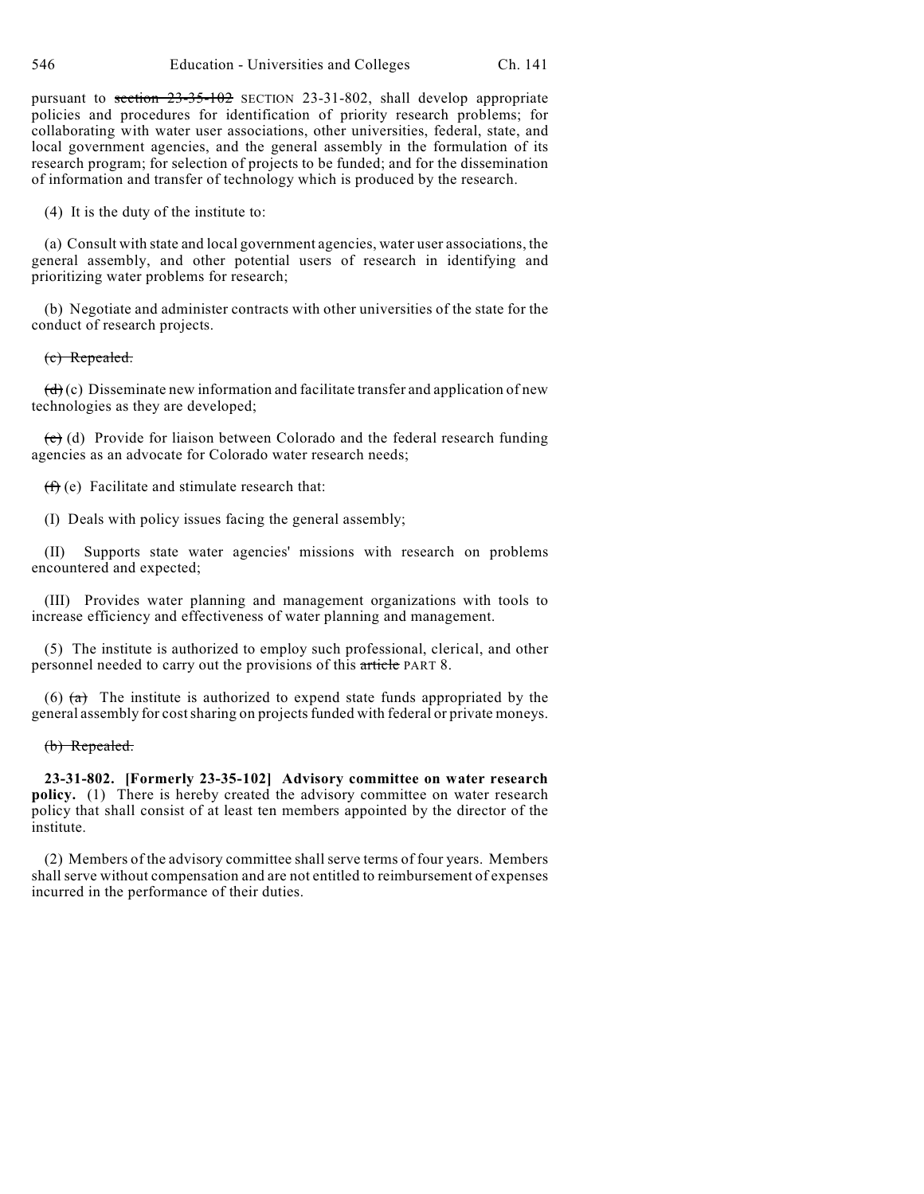pursuant to section 23-35-102 SECTION 23-31-802, shall develop appropriate policies and procedures for identification of priority research problems; for collaborating with water user associations, other universities, federal, state, and local government agencies, and the general assembly in the formulation of its research program; for selection of projects to be funded; and for the dissemination of information and transfer of technology which is produced by the research.

(4) It is the duty of the institute to:

(a) Consult with state and local government agencies, water user associations, the general assembly, and other potential users of research in identifying and prioritizing water problems for research;

(b) Negotiate and administer contracts with other universities of the state for the conduct of research projects.

#### (c) Repealed.

 $(d)(c)$  Disseminate new information and facilitate transfer and application of new technologies as they are developed;

 $(e)$  (d) Provide for liaison between Colorado and the federal research funding agencies as an advocate for Colorado water research needs;

 $(f)$  (e) Facilitate and stimulate research that:

(I) Deals with policy issues facing the general assembly;

(II) Supports state water agencies' missions with research on problems encountered and expected;

(III) Provides water planning and management organizations with tools to increase efficiency and effectiveness of water planning and management.

(5) The institute is authorized to employ such professional, clerical, and other personnel needed to carry out the provisions of this article PART 8.

(6)  $(a)$  The institute is authorized to expend state funds appropriated by the general assembly for cost sharing on projects funded with federal or private moneys.

(b) Repealed.

**23-31-802. [Formerly 23-35-102] Advisory committee on water research policy.** (1) There is hereby created the advisory committee on water research policy that shall consist of at least ten members appointed by the director of the institute.

(2) Members of the advisory committee shall serve terms of four years. Members shall serve without compensation and are not entitled to reimbursement of expenses incurred in the performance of their duties.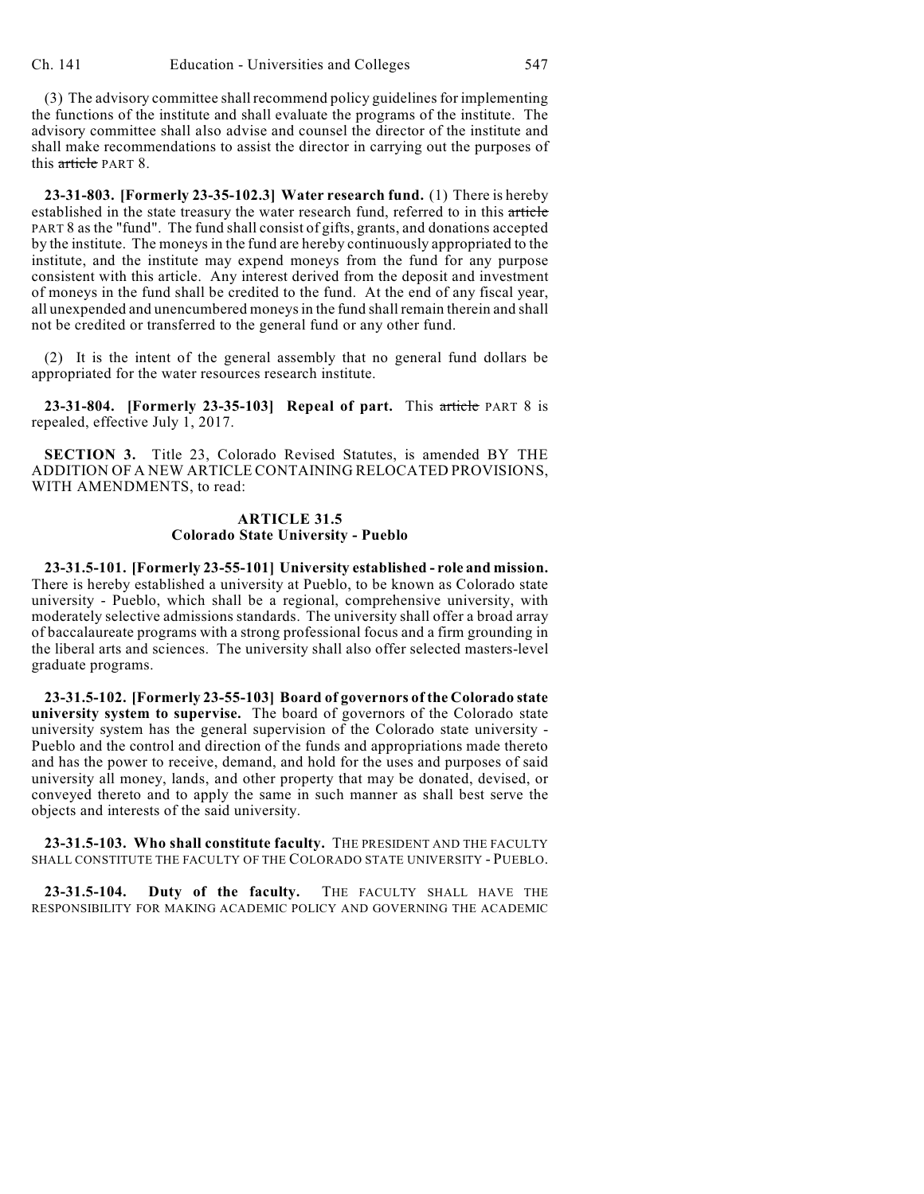(3) The advisory committee shall recommend policy guidelines for implementing the functions of the institute and shall evaluate the programs of the institute. The advisory committee shall also advise and counsel the director of the institute and shall make recommendations to assist the director in carrying out the purposes of this article PART 8.

**23-31-803. [Formerly 23-35-102.3] Water research fund.** (1) There is hereby established in the state treasury the water research fund, referred to in this article PART 8 as the "fund". The fund shall consist of gifts, grants, and donations accepted by the institute. The moneys in the fund are hereby continuously appropriated to the institute, and the institute may expend moneys from the fund for any purpose consistent with this article. Any interest derived from the deposit and investment of moneys in the fund shall be credited to the fund. At the end of any fiscal year, all unexpended and unencumbered moneys in the fund shall remain therein and shall not be credited or transferred to the general fund or any other fund.

(2) It is the intent of the general assembly that no general fund dollars be appropriated for the water resources research institute.

**23-31-804. [Formerly 23-35-103] Repeal of part.** This article PART 8 is repealed, effective July 1, 2017.

**SECTION 3.** Title 23, Colorado Revised Statutes, is amended BY THE ADDITION OF A NEW ARTICLE CONTAINING RELOCATED PROVISIONS, WITH AMENDMENTS, to read:

#### **ARTICLE 31.5 Colorado State University - Pueblo**

**23-31.5-101. [Formerly 23-55-101] University established - role and mission.** There is hereby established a university at Pueblo, to be known as Colorado state university - Pueblo, which shall be a regional, comprehensive university, with moderately selective admissions standards. The university shall offer a broad array of baccalaureate programs with a strong professional focus and a firm grounding in the liberal arts and sciences. The university shall also offer selected masters-level graduate programs.

**23-31.5-102. [Formerly 23-55-103] Board of governors of the Colorado state university system to supervise.** The board of governors of the Colorado state university system has the general supervision of the Colorado state university - Pueblo and the control and direction of the funds and appropriations made thereto and has the power to receive, demand, and hold for the uses and purposes of said university all money, lands, and other property that may be donated, devised, or conveyed thereto and to apply the same in such manner as shall best serve the objects and interests of the said university.

**23-31.5-103. Who shall constitute faculty.** THE PRESIDENT AND THE FACULTY SHALL CONSTITUTE THE FACULTY OF THE COLORADO STATE UNIVERSITY - PUEBLO.

**23-31.5-104. Duty of the faculty.** THE FACULTY SHALL HAVE THE RESPONSIBILITY FOR MAKING ACADEMIC POLICY AND GOVERNING THE ACADEMIC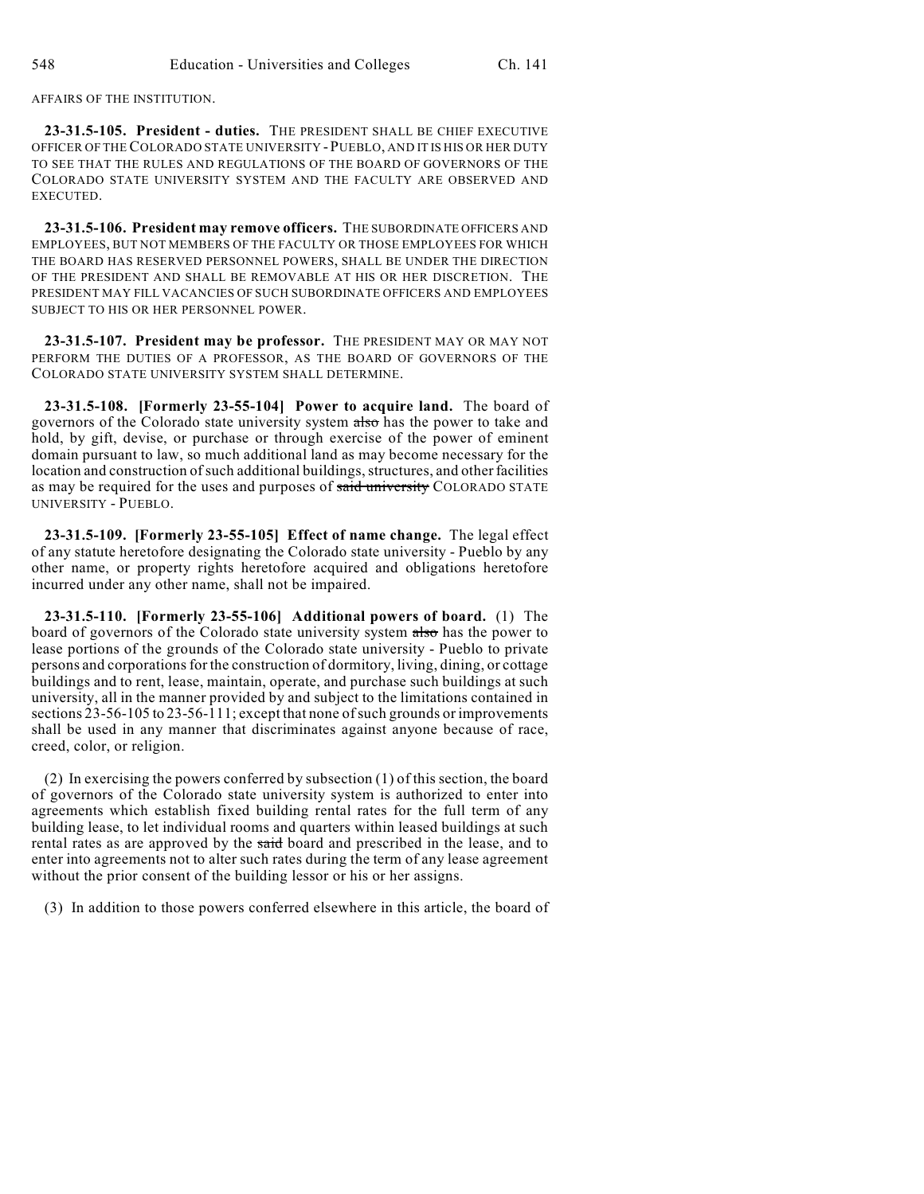AFFAIRS OF THE INSTITUTION.

**23-31.5-105. President - duties.** THE PRESIDENT SHALL BE CHIEF EXECUTIVE OFFICER OF THE COLORADO STATE UNIVERSITY -PUEBLO, AND IT IS HIS OR HER DUTY TO SEE THAT THE RULES AND REGULATIONS OF THE BOARD OF GOVERNORS OF THE COLORADO STATE UNIVERSITY SYSTEM AND THE FACULTY ARE OBSERVED AND EXECUTED.

**23-31.5-106. President may remove officers.** THE SUBORDINATE OFFICERS AND EMPLOYEES, BUT NOT MEMBERS OF THE FACULTY OR THOSE EMPLOYEES FOR WHICH THE BOARD HAS RESERVED PERSONNEL POWERS, SHALL BE UNDER THE DIRECTION OF THE PRESIDENT AND SHALL BE REMOVABLE AT HIS OR HER DISCRETION. THE PRESIDENT MAY FILL VACANCIES OF SUCH SUBORDINATE OFFICERS AND EMPLOYEES SUBJECT TO HIS OR HER PERSONNEL POWER.

**23-31.5-107. President may be professor.** THE PRESIDENT MAY OR MAY NOT PERFORM THE DUTIES OF A PROFESSOR, AS THE BOARD OF GOVERNORS OF THE COLORADO STATE UNIVERSITY SYSTEM SHALL DETERMINE.

**23-31.5-108. [Formerly 23-55-104] Power to acquire land.** The board of governors of the Colorado state university system also has the power to take and hold, by gift, devise, or purchase or through exercise of the power of eminent domain pursuant to law, so much additional land as may become necessary for the location and construction of such additional buildings, structures, and other facilities as may be required for the uses and purposes of said university COLORADO STATE UNIVERSITY - PUEBLO.

**23-31.5-109. [Formerly 23-55-105] Effect of name change.** The legal effect of any statute heretofore designating the Colorado state university - Pueblo by any other name, or property rights heretofore acquired and obligations heretofore incurred under any other name, shall not be impaired.

**23-31.5-110. [Formerly 23-55-106] Additional powers of board.** (1) The board of governors of the Colorado state university system also has the power to lease portions of the grounds of the Colorado state university - Pueblo to private persons and corporations for the construction of dormitory, living, dining, or cottage buildings and to rent, lease, maintain, operate, and purchase such buildings at such university, all in the manner provided by and subject to the limitations contained in sections 23-56-105 to 23-56-111; except that none of such grounds or improvements shall be used in any manner that discriminates against anyone because of race, creed, color, or religion.

(2) In exercising the powers conferred by subsection (1) of this section, the board of governors of the Colorado state university system is authorized to enter into agreements which establish fixed building rental rates for the full term of any building lease, to let individual rooms and quarters within leased buildings at such rental rates as are approved by the said board and prescribed in the lease, and to enter into agreements not to alter such rates during the term of any lease agreement without the prior consent of the building lessor or his or her assigns.

(3) In addition to those powers conferred elsewhere in this article, the board of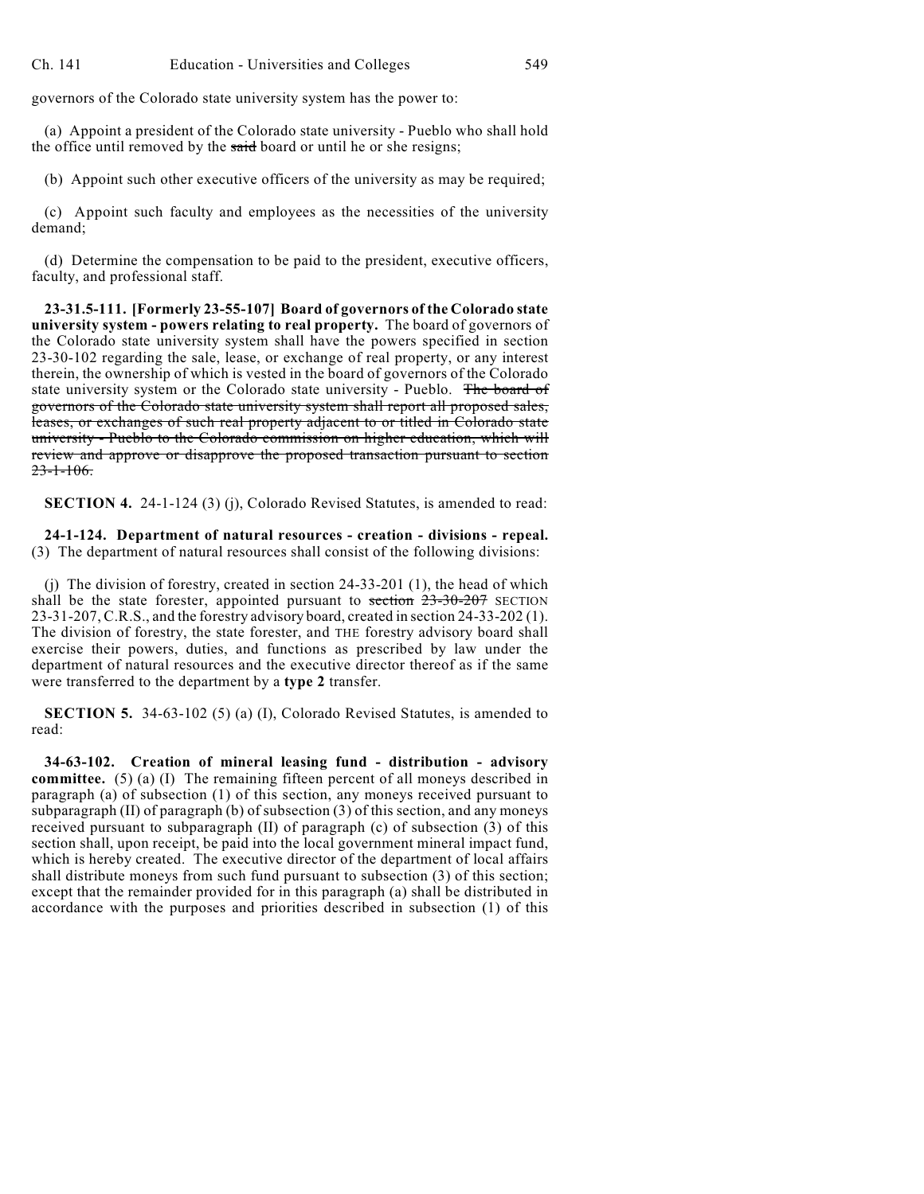governors of the Colorado state university system has the power to:

(a) Appoint a president of the Colorado state university - Pueblo who shall hold the office until removed by the said board or until he or she resigns;

(b) Appoint such other executive officers of the university as may be required;

(c) Appoint such faculty and employees as the necessities of the university demand;

(d) Determine the compensation to be paid to the president, executive officers, faculty, and professional staff.

**23-31.5-111. [Formerly 23-55-107] Board of governors of the Colorado state university system - powers relating to real property.** The board of governors of the Colorado state university system shall have the powers specified in section 23-30-102 regarding the sale, lease, or exchange of real property, or any interest therein, the ownership of which is vested in the board of governors of the Colorado state university system or the Colorado state university - Pueblo. The board of governors of the Colorado state university system shall report all proposed sales, leases, or exchanges of such real property adjacent to or titled in Colorado state university - Pueblo to the Colorado commission on higher education, which will review and approve or disapprove the proposed transaction pursuant to section  $23 - 1 - 106$ .

**SECTION 4.** 24-1-124 (3) (j), Colorado Revised Statutes, is amended to read:

**24-1-124. Department of natural resources - creation - divisions - repeal.** (3) The department of natural resources shall consist of the following divisions:

(j) The division of forestry, created in section 24-33-201 (1), the head of which shall be the state forester, appointed pursuant to section  $23-30-207$  SECTION 23-31-207, C.R.S., and the forestry advisory board, created in section 24-33-202 (1). The division of forestry, the state forester, and THE forestry advisory board shall exercise their powers, duties, and functions as prescribed by law under the department of natural resources and the executive director thereof as if the same were transferred to the department by a **type 2** transfer.

**SECTION 5.** 34-63-102 (5) (a) (I), Colorado Revised Statutes, is amended to read:

**34-63-102. Creation of mineral leasing fund - distribution - advisory committee.** (5) (a) (I) The remaining fifteen percent of all moneys described in paragraph (a) of subsection (1) of this section, any moneys received pursuant to subparagraph (II) of paragraph (b) of subsection (3) of this section, and any moneys received pursuant to subparagraph (II) of paragraph (c) of subsection (3) of this section shall, upon receipt, be paid into the local government mineral impact fund, which is hereby created. The executive director of the department of local affairs shall distribute moneys from such fund pursuant to subsection (3) of this section; except that the remainder provided for in this paragraph (a) shall be distributed in accordance with the purposes and priorities described in subsection (1) of this